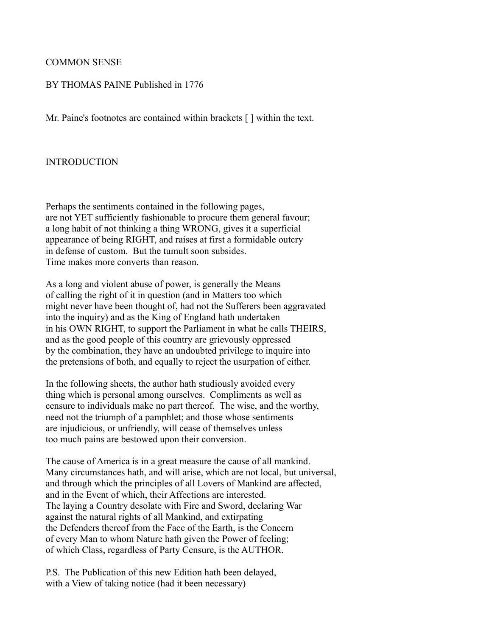### COMMON SENSE

#### BY THOMAS PAINE Published in 1776

Mr. Paine's footnotes are contained within brackets [ ] within the text.

#### INTRODUCTION

Perhaps the sentiments contained in the following pages, are not YET sufficiently fashionable to procure them general favour; a long habit of not thinking a thing WRONG, gives it a superficial appearance of being RIGHT, and raises at first a formidable outcry in defense of custom. But the tumult soon subsides. Time makes more converts than reason.

As a long and violent abuse of power, is generally the Means of calling the right of it in question (and in Matters too which might never have been thought of, had not the Sufferers been aggravated into the inquiry) and as the King of England hath undertaken in his OWN RIGHT, to support the Parliament in what he calls THEIRS, and as the good people of this country are grievously oppressed by the combination, they have an undoubted privilege to inquire into the pretensions of both, and equally to reject the usurpation of either.

In the following sheets, the author hath studiously avoided every thing which is personal among ourselves. Compliments as well as censure to individuals make no part thereof. The wise, and the worthy, need not the triumph of a pamphlet; and those whose sentiments are injudicious, or unfriendly, will cease of themselves unless too much pains are bestowed upon their conversion.

The cause of America is in a great measure the cause of all mankind. Many circumstances hath, and will arise, which are not local, but universal, and through which the principles of all Lovers of Mankind are affected, and in the Event of which, their Affections are interested. The laying a Country desolate with Fire and Sword, declaring War against the natural rights of all Mankind, and extirpating the Defenders thereof from the Face of the Earth, is the Concern of every Man to whom Nature hath given the Power of feeling; of which Class, regardless of Party Censure, is the AUTHOR.

P.S. The Publication of this new Edition hath been delayed, with a View of taking notice (had it been necessary)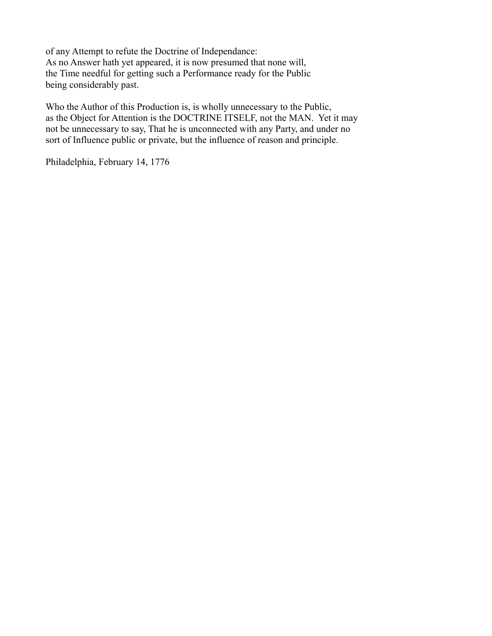of any Attempt to refute the Doctrine of Independance: As no Answer hath yet appeared, it is now presumed that none will, the Time needful for getting such a Performance ready for the Public being considerably past.

Who the Author of this Production is, is wholly unnecessary to the Public, as the Object for Attention is the DOCTRINE ITSELF, not the MAN. Yet it may not be unnecessary to say, That he is unconnected with any Party, and under no sort of Influence public or private, but the influence of reason and principle.

Philadelphia, February 14, 1776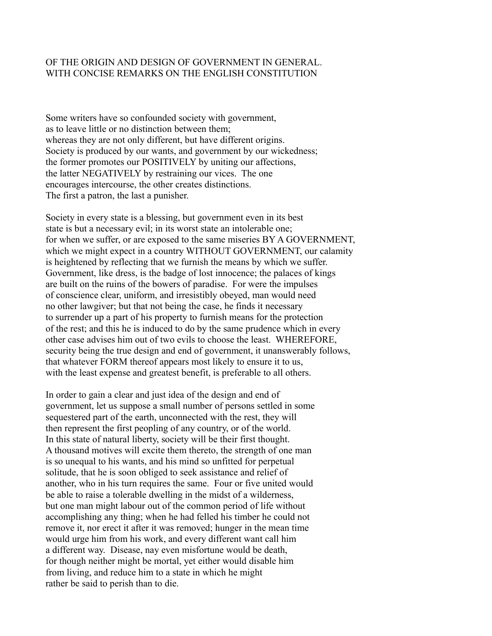## OF THE ORIGIN AND DESIGN OF GOVERNMENT IN GENERAL. WITH CONCISE REMARKS ON THE ENGLISH CONSTITUTION

Some writers have so confounded society with government, as to leave little or no distinction between them; whereas they are not only different, but have different origins. Society is produced by our wants, and government by our wickedness; the former promotes our POSITIVELY by uniting our affections, the latter NEGATIVELY by restraining our vices. The one encourages intercourse, the other creates distinctions. The first a patron, the last a punisher.

Society in every state is a blessing, but government even in its best state is but a necessary evil; in its worst state an intolerable one; for when we suffer, or are exposed to the same miseries BY A GOVERNMENT, which we might expect in a country WITHOUT GOVERNMENT, our calamity is heightened by reflecting that we furnish the means by which we suffer. Government, like dress, is the badge of lost innocence; the palaces of kings are built on the ruins of the bowers of paradise. For were the impulses of conscience clear, uniform, and irresistibly obeyed, man would need no other lawgiver; but that not being the case, he finds it necessary to surrender up a part of his property to furnish means for the protection of the rest; and this he is induced to do by the same prudence which in every other case advises him out of two evils to choose the least. WHEREFORE, security being the true design and end of government, it unanswerably follows, that whatever FORM thereof appears most likely to ensure it to us, with the least expense and greatest benefit, is preferable to all others.

In order to gain a clear and just idea of the design and end of government, let us suppose a small number of persons settled in some sequestered part of the earth, unconnected with the rest, they will then represent the first peopling of any country, or of the world. In this state of natural liberty, society will be their first thought. A thousand motives will excite them thereto, the strength of one man is so unequal to his wants, and his mind so unfitted for perpetual solitude, that he is soon obliged to seek assistance and relief of another, who in his turn requires the same. Four or five united would be able to raise a tolerable dwelling in the midst of a wilderness, but one man might labour out of the common period of life without accomplishing any thing; when he had felled his timber he could not remove it, nor erect it after it was removed; hunger in the mean time would urge him from his work, and every different want call him a different way. Disease, nay even misfortune would be death, for though neither might be mortal, yet either would disable him from living, and reduce him to a state in which he might rather be said to perish than to die.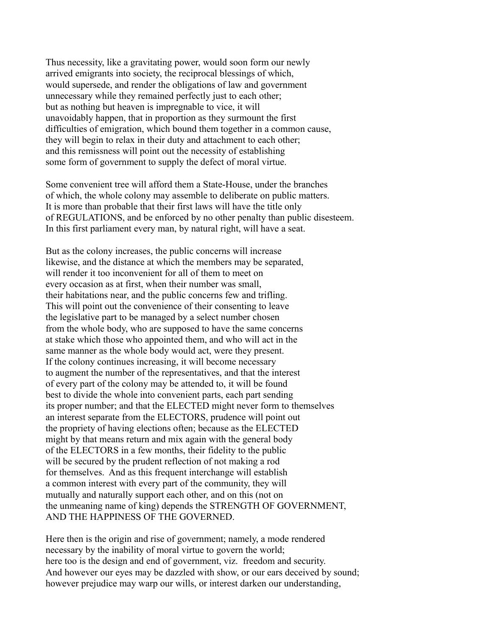Thus necessity, like a gravitating power, would soon form our newly arrived emigrants into society, the reciprocal blessings of which, would supersede, and render the obligations of law and government unnecessary while they remained perfectly just to each other; but as nothing but heaven is impregnable to vice, it will unavoidably happen, that in proportion as they surmount the first difficulties of emigration, which bound them together in a common cause, they will begin to relax in their duty and attachment to each other; and this remissness will point out the necessity of establishing some form of government to supply the defect of moral virtue.

Some convenient tree will afford them a State-House, under the branches of which, the whole colony may assemble to deliberate on public matters. It is more than probable that their first laws will have the title only of REGULATIONS, and be enforced by no other penalty than public disesteem. In this first parliament every man, by natural right, will have a seat.

But as the colony increases, the public concerns will increase likewise, and the distance at which the members may be separated, will render it too inconvenient for all of them to meet on every occasion as at first, when their number was small, their habitations near, and the public concerns few and trifling. This will point out the convenience of their consenting to leave the legislative part to be managed by a select number chosen from the whole body, who are supposed to have the same concerns at stake which those who appointed them, and who will act in the same manner as the whole body would act, were they present. If the colony continues increasing, it will become necessary to augment the number of the representatives, and that the interest of every part of the colony may be attended to, it will be found best to divide the whole into convenient parts, each part sending its proper number; and that the ELECTED might never form to themselves an interest separate from the ELECTORS, prudence will point out the propriety of having elections often; because as the ELECTED might by that means return and mix again with the general body of the ELECTORS in a few months, their fidelity to the public will be secured by the prudent reflection of not making a rod for themselves. And as this frequent interchange will establish a common interest with every part of the community, they will mutually and naturally support each other, and on this (not on the unmeaning name of king) depends the STRENGTH OF GOVERNMENT, AND THE HAPPINESS OF THE GOVERNED.

Here then is the origin and rise of government; namely, a mode rendered necessary by the inability of moral virtue to govern the world; here too is the design and end of government, viz. freedom and security. And however our eyes may be dazzled with show, or our ears deceived by sound; however prejudice may warp our wills, or interest darken our understanding,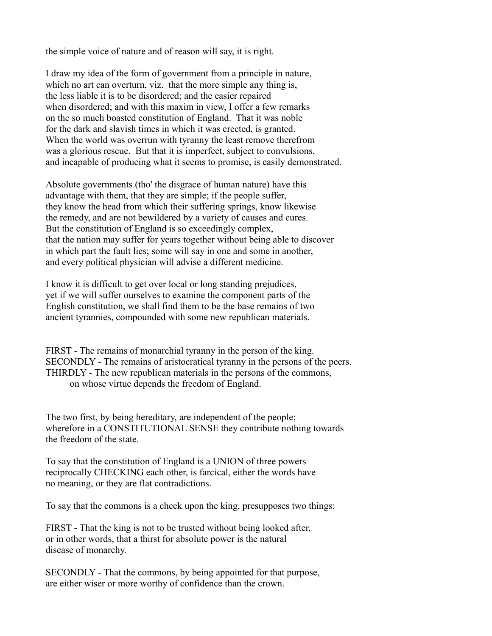the simple voice of nature and of reason will say, it is right.

I draw my idea of the form of government from a principle in nature, which no art can overturn, viz. that the more simple any thing is, the less liable it is to be disordered; and the easier repaired when disordered; and with this maxim in view, I offer a few remarks on the so much boasted constitution of England. That it was noble for the dark and slavish times in which it was erected, is granted. When the world was overrun with tyranny the least remove therefrom was a glorious rescue. But that it is imperfect, subject to convulsions, and incapable of producing what it seems to promise, is easily demonstrated.

Absolute governments (tho' the disgrace of human nature) have this advantage with them, that they are simple; if the people suffer, they know the head from which their suffering springs, know likewise the remedy, and are not bewildered by a variety of causes and cures. But the constitution of England is so exceedingly complex, that the nation may suffer for years together without being able to discover in which part the fault lies; some will say in one and some in another, and every political physician will advise a different medicine.

I know it is difficult to get over local or long standing prejudices, yet if we will suffer ourselves to examine the component parts of the English constitution, we shall find them to be the base remains of two ancient tyrannies, compounded with some new republican materials.

FIRST - The remains of monarchial tyranny in the person of the king. SECONDLY - The remains of aristocratical tyranny in the persons of the peers. THIRDLY - The new republican materials in the persons of the commons, on whose virtue depends the freedom of England.

The two first, by being hereditary, are independent of the people; wherefore in a CONSTITUTIONAL SENSE they contribute nothing towards the freedom of the state.

To say that the constitution of England is a UNION of three powers reciprocally CHECKING each other, is farcical, either the words have no meaning, or they are flat contradictions.

To say that the commons is a check upon the king, presupposes two things:

FIRST - That the king is not to be trusted without being looked after, or in other words, that a thirst for absolute power is the natural disease of monarchy.

SECONDLY - That the commons, by being appointed for that purpose, are either wiser or more worthy of confidence than the crown.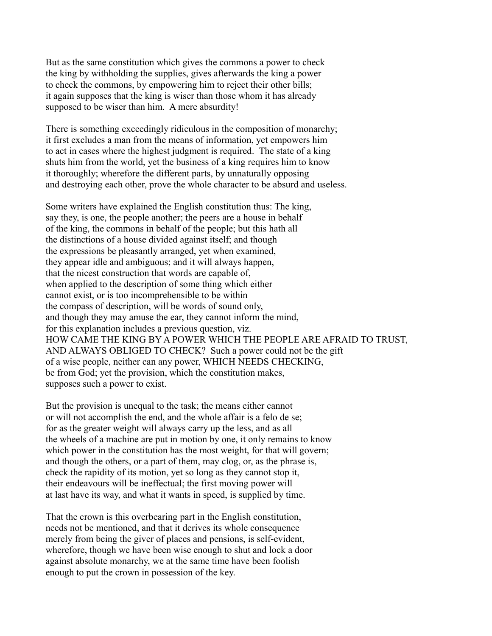But as the same constitution which gives the commons a power to check the king by withholding the supplies, gives afterwards the king a power to check the commons, by empowering him to reject their other bills; it again supposes that the king is wiser than those whom it has already supposed to be wiser than him. A mere absurdity!

There is something exceedingly ridiculous in the composition of monarchy; it first excludes a man from the means of information, yet empowers him to act in cases where the highest judgment is required. The state of a king shuts him from the world, yet the business of a king requires him to know it thoroughly; wherefore the different parts, by unnaturally opposing and destroying each other, prove the whole character to be absurd and useless.

Some writers have explained the English constitution thus: The king, say they, is one, the people another; the peers are a house in behalf of the king, the commons in behalf of the people; but this hath all the distinctions of a house divided against itself; and though the expressions be pleasantly arranged, yet when examined, they appear idle and ambiguous; and it will always happen, that the nicest construction that words are capable of, when applied to the description of some thing which either cannot exist, or is too incomprehensible to be within the compass of description, will be words of sound only, and though they may amuse the ear, they cannot inform the mind, for this explanation includes a previous question, viz. HOW CAME THE KING BY A POWER WHICH THE PEOPLE ARE AFRAID TO TRUST, AND ALWAYS OBLIGED TO CHECK? Such a power could not be the gift of a wise people, neither can any power, WHICH NEEDS CHECKING, be from God; yet the provision, which the constitution makes, supposes such a power to exist.

But the provision is unequal to the task; the means either cannot or will not accomplish the end, and the whole affair is a felo de se; for as the greater weight will always carry up the less, and as all the wheels of a machine are put in motion by one, it only remains to know which power in the constitution has the most weight, for that will govern; and though the others, or a part of them, may clog, or, as the phrase is, check the rapidity of its motion, yet so long as they cannot stop it, their endeavours will be ineffectual; the first moving power will at last have its way, and what it wants in speed, is supplied by time.

That the crown is this overbearing part in the English constitution, needs not be mentioned, and that it derives its whole consequence merely from being the giver of places and pensions, is self-evident, wherefore, though we have been wise enough to shut and lock a door against absolute monarchy, we at the same time have been foolish enough to put the crown in possession of the key.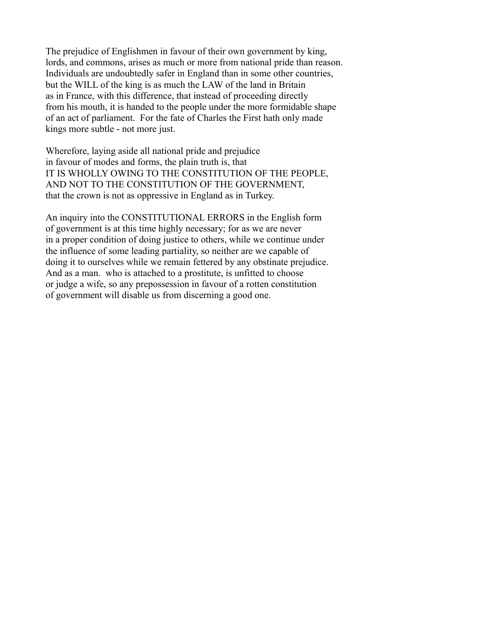The prejudice of Englishmen in favour of their own government by king, lords, and commons, arises as much or more from national pride than reason. Individuals are undoubtedly safer in England than in some other countries, but the WILL of the king is as much the LAW of the land in Britain as in France, with this difference, that instead of proceeding directly from his mouth, it is handed to the people under the more formidable shape of an act of parliament. For the fate of Charles the First hath only made kings more subtle - not more just.

Wherefore, laying aside all national pride and prejudice in favour of modes and forms, the plain truth is, that IT IS WHOLLY OWING TO THE CONSTITUTION OF THE PEOPLE, AND NOT TO THE CONSTITUTION OF THE GOVERNMENT, that the crown is not as oppressive in England as in Turkey.

An inquiry into the CONSTITUTIONAL ERRORS in the English form of government is at this time highly necessary; for as we are never in a proper condition of doing justice to others, while we continue under the influence of some leading partiality, so neither are we capable of doing it to ourselves while we remain fettered by any obstinate prejudice. And as a man. who is attached to a prostitute, is unfitted to choose or judge a wife, so any prepossession in favour of a rotten constitution of government will disable us from discerning a good one.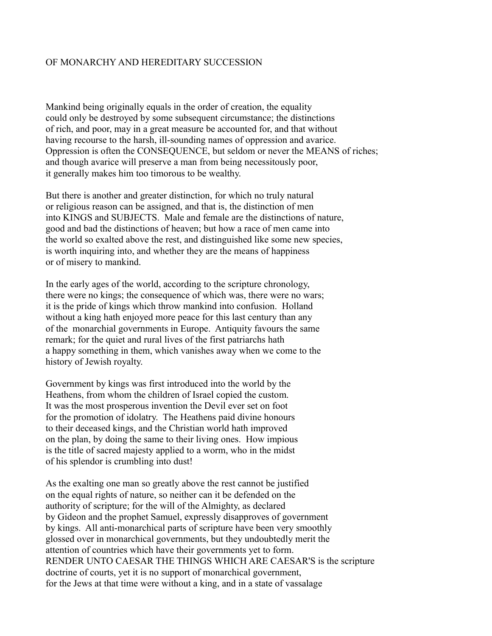# OF MONARCHY AND HEREDITARY SUCCESSION

Mankind being originally equals in the order of creation, the equality could only be destroyed by some subsequent circumstance; the distinctions of rich, and poor, may in a great measure be accounted for, and that without having recourse to the harsh, ill-sounding names of oppression and avarice. Oppression is often the CONSEQUENCE, but seldom or never the MEANS of riches; and though avarice will preserve a man from being necessitously poor, it generally makes him too timorous to be wealthy.

But there is another and greater distinction, for which no truly natural or religious reason can be assigned, and that is, the distinction of men into KINGS and SUBJECTS. Male and female are the distinctions of nature, good and bad the distinctions of heaven; but how a race of men came into the world so exalted above the rest, and distinguished like some new species, is worth inquiring into, and whether they are the means of happiness or of misery to mankind.

In the early ages of the world, according to the scripture chronology, there were no kings; the consequence of which was, there were no wars; it is the pride of kings which throw mankind into confusion. Holland without a king hath enjoyed more peace for this last century than any of the monarchial governments in Europe. Antiquity favours the same remark; for the quiet and rural lives of the first patriarchs hath a happy something in them, which vanishes away when we come to the history of Jewish royalty.

Government by kings was first introduced into the world by the Heathens, from whom the children of Israel copied the custom. It was the most prosperous invention the Devil ever set on foot for the promotion of idolatry. The Heathens paid divine honours to their deceased kings, and the Christian world hath improved on the plan, by doing the same to their living ones. How impious is the title of sacred majesty applied to a worm, who in the midst of his splendor is crumbling into dust!

As the exalting one man so greatly above the rest cannot be justified on the equal rights of nature, so neither can it be defended on the authority of scripture; for the will of the Almighty, as declared by Gideon and the prophet Samuel, expressly disapproves of government by kings. All anti-monarchical parts of scripture have been very smoothly glossed over in monarchical governments, but they undoubtedly merit the attention of countries which have their governments yet to form. RENDER UNTO CAESAR THE THINGS WHICH ARE CAESAR'S is the scripture doctrine of courts, yet it is no support of monarchical government, for the Jews at that time were without a king, and in a state of vassalage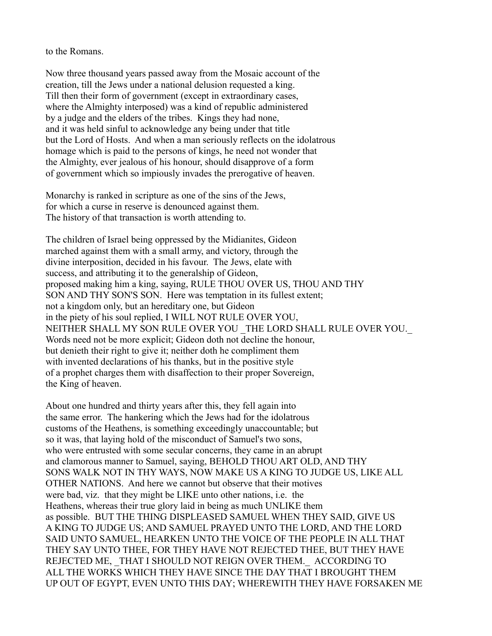to the Romans.

Now three thousand years passed away from the Mosaic account of the creation, till the Jews under a national delusion requested a king. Till then their form of government (except in extraordinary cases, where the Almighty interposed) was a kind of republic administered by a judge and the elders of the tribes. Kings they had none, and it was held sinful to acknowledge any being under that title but the Lord of Hosts. And when a man seriously reflects on the idolatrous homage which is paid to the persons of kings, he need not wonder that the Almighty, ever jealous of his honour, should disapprove of a form of government which so impiously invades the prerogative of heaven.

Monarchy is ranked in scripture as one of the sins of the Jews, for which a curse in reserve is denounced against them. The history of that transaction is worth attending to.

The children of Israel being oppressed by the Midianites, Gideon marched against them with a small army, and victory, through the divine interposition, decided in his favour. The Jews, elate with success, and attributing it to the generalship of Gideon, proposed making him a king, saying, RULE THOU OVER US, THOU AND THY SON AND THY SON'S SON. Here was temptation in its fullest extent; not a kingdom only, but an hereditary one, but Gideon in the piety of his soul replied, I WILL NOT RULE OVER YOU, NEITHER SHALL MY SON RULE OVER YOU THE LORD SHALL RULE OVER YOU. Words need not be more explicit; Gideon doth not decline the honour, but denieth their right to give it; neither doth he compliment them with invented declarations of his thanks, but in the positive style of a prophet charges them with disaffection to their proper Sovereign, the King of heaven.

About one hundred and thirty years after this, they fell again into the same error. The hankering which the Jews had for the idolatrous customs of the Heathens, is something exceedingly unaccountable; but so it was, that laying hold of the misconduct of Samuel's two sons, who were entrusted with some secular concerns, they came in an abrupt and clamorous manner to Samuel, saying, BEHOLD THOU ART OLD, AND THY SONS WALK NOT IN THY WAYS, NOW MAKE US A KING TO JUDGE US, LIKE ALL OTHER NATIONS. And here we cannot but observe that their motives were bad, viz. that they might be LIKE unto other nations, i.e. the Heathens, whereas their true glory laid in being as much UNLIKE them as possible. BUT THE THING DISPLEASED SAMUEL WHEN THEY SAID, GIVE US A KING TO JUDGE US; AND SAMUEL PRAYED UNTO THE LORD, AND THE LORD SAID UNTO SAMUEL, HEARKEN UNTO THE VOICE OF THE PEOPLE IN ALL THAT THEY SAY UNTO THEE, FOR THEY HAVE NOT REJECTED THEE, BUT THEY HAVE REJECTED ME, THAT I SHOULD NOT REIGN OVER THEM. ACCORDING TO ALL THE WORKS WHICH THEY HAVE SINCE THE DAY THAT I BROUGHT THEM UP OUT OF EGYPT, EVEN UNTO THIS DAY; WHEREWITH THEY HAVE FORSAKEN ME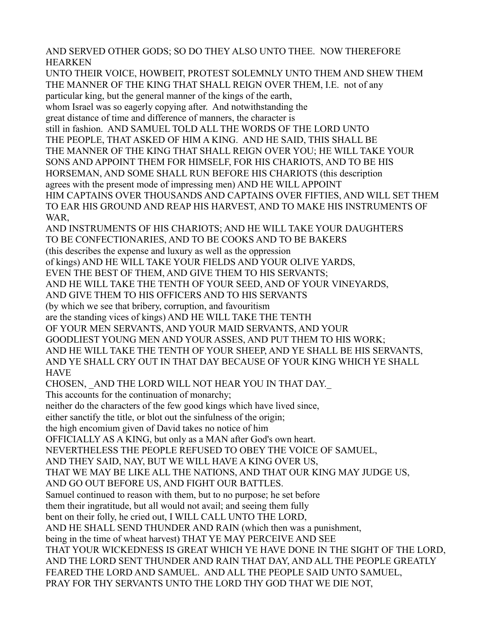AND SERVED OTHER GODS; SO DO THEY ALSO UNTO THEE. NOW THEREFORE HEARKEN

UNTO THEIR VOICE, HOWBEIT, PROTEST SOLEMNLY UNTO THEM AND SHEW THEM THE MANNER OF THE KING THAT SHALL REIGN OVER THEM, I.E. not of any particular king, but the general manner of the kings of the earth, whom Israel was so eagerly copying after. And notwithstanding the great distance of time and difference of manners, the character is still in fashion. AND SAMUEL TOLD ALL THE WORDS OF THE LORD UNTO THE PEOPLE, THAT ASKED OF HIM A KING. AND HE SAID, THIS SHALL BE THE MANNER OF THE KING THAT SHALL REIGN OVER YOU; HE WILL TAKE YOUR SONS AND APPOINT THEM FOR HIMSELF, FOR HIS CHARIOTS, AND TO BE HIS HORSEMAN, AND SOME SHALL RUN BEFORE HIS CHARIOTS (this description agrees with the present mode of impressing men) AND HE WILL APPOINT HIM CAPTAINS OVER THOUSANDS AND CAPTAINS OVER FIFTIES, AND WILL SET THEM TO EAR HIS GROUND AND REAP HIS HARVEST, AND TO MAKE HIS INSTRUMENTS OF WAR. AND INSTRUMENTS OF HIS CHARIOTS; AND HE WILL TAKE YOUR DAUGHTERS TO BE CONFECTIONARIES, AND TO BE COOKS AND TO BE BAKERS (this describes the expense and luxury as well as the oppression of kings) AND HE WILL TAKE YOUR FIELDS AND YOUR OLIVE YARDS, EVEN THE BEST OF THEM, AND GIVE THEM TO HIS SERVANTS; AND HE WILL TAKE THE TENTH OF YOUR SEED, AND OF YOUR VINEYARDS, AND GIVE THEM TO HIS OFFICERS AND TO HIS SERVANTS (by which we see that bribery, corruption, and favouritism are the standing vices of kings) AND HE WILL TAKE THE TENTH OF YOUR MEN SERVANTS, AND YOUR MAID SERVANTS, AND YOUR GOODLIEST YOUNG MEN AND YOUR ASSES, AND PUT THEM TO HIS WORK; AND HE WILL TAKE THE TENTH OF YOUR SHEEP, AND YE SHALL BE HIS SERVANTS, AND YE SHALL CRY OUT IN THAT DAY BECAUSE OF YOUR KING WHICH YE SHALL **HAVE** CHOSEN, AND THE LORD WILL NOT HEAR YOU IN THAT DAY. This accounts for the continuation of monarchy; neither do the characters of the few good kings which have lived since, either sanctify the title, or blot out the sinfulness of the origin; the high encomium given of David takes no notice of him OFFICIALLY AS A KING, but only as a MAN after God's own heart. NEVERTHELESS THE PEOPLE REFUSED TO OBEY THE VOICE OF SAMUEL, AND THEY SAID, NAY, BUT WE WILL HAVE A KING OVER US, THAT WE MAY BE LIKE ALL THE NATIONS, AND THAT OUR KING MAY JUDGE US, AND GO OUT BEFORE US, AND FIGHT OUR BATTLES. Samuel continued to reason with them, but to no purpose; he set before them their ingratitude, but all would not avail; and seeing them fully bent on their folly, he cried out, I WILL CALL UNTO THE LORD, AND HE SHALL SEND THUNDER AND RAIN (which then was a punishment, being in the time of wheat harvest) THAT YE MAY PERCEIVE AND SEE THAT YOUR WICKEDNESS IS GREAT WHICH YE HAVE DONE IN THE SIGHT OF THE LORD, AND THE LORD SENT THUNDER AND RAIN THAT DAY, AND ALL THE PEOPLE GREATLY FEARED THE LORD AND SAMUEL. AND ALL THE PEOPLE SAID UNTO SAMUEL, PRAY FOR THY SERVANTS UNTO THE LORD THY GOD THAT WE DIE NOT,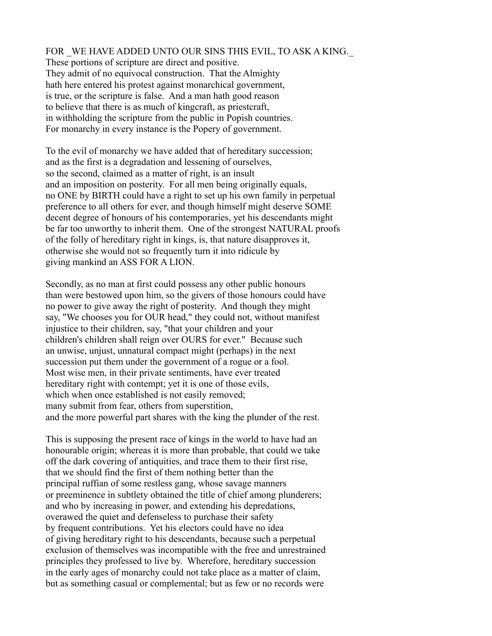FOR \_WE HAVE ADDED UNTO OUR SINS THIS EVIL, TO ASK A KING.\_ These portions of scripture are direct and positive. They admit of no equivocal construction. That the Almighty hath here entered his protest against monarchical government, is true, or the scripture is false. And a man hath good reason to believe that there is as much of kingcraft, as priestcraft, in withholding the scripture from the public in Popish countries. For monarchy in every instance is the Popery of government.

To the evil of monarchy we have added that of hereditary succession; and as the first is a degradation and lessening of ourselves, so the second, claimed as a matter of right, is an insult and an imposition on posterity. For all men being originally equals, no ONE by BIRTH could have a right to set up his own family in perpetual preference to all others for ever, and though himself might deserve SOME decent degree of honours of his contemporaries, yet his descendants might be far too unworthy to inherit them. One of the strongest NATURAL proofs of the folly of hereditary right in kings, is, that nature disapproves it, otherwise she would not so frequently turn it into ridicule by giving mankind an ASS FOR A LION.

Secondly, as no man at first could possess any other public honours than were bestowed upon him, so the givers of those honours could have no power to give away the right of posterity. And though they might say, "We chooses you for OUR head," they could not, without manifest injustice to their children, say, "that your children and your children's children shall reign over OURS for ever." Because such an unwise, unjust, unnatural compact might (perhaps) in the next succession put them under the government of a rogue or a fool. Most wise men, in their private sentiments, have ever treated hereditary right with contempt; yet it is one of those evils, which when once established is not easily removed; many submit from fear, others from superstition, and the more powerful part shares with the king the plunder of the rest.

This is supposing the present race of kings in the world to have had an honourable origin; whereas it is more than probable, that could we take off the dark covering of antiquities, and trace them to their first rise, that we should find the first of them nothing better than the principal ruffian of some restless gang, whose savage manners or preeminence in subtlety obtained the title of chief among plunderers; and who by increasing in power, and extending his depredations, overawed the quiet and defenseless to purchase their safety by frequent contributions. Yet his electors could have no idea of giving hereditary right to his descendants, because such a perpetual exclusion of themselves was incompatible with the free and unrestrained principles they professed to live by. Wherefore, hereditary succession in the early ages of monarchy could not take place as a matter of claim, but as something casual or complemental; but as few or no records were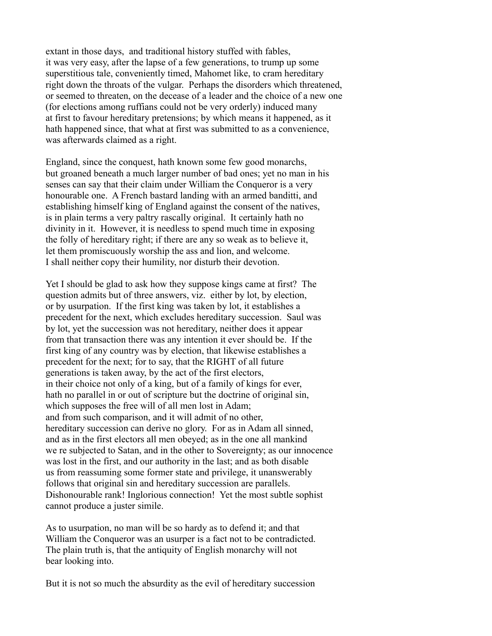extant in those days, and traditional history stuffed with fables, it was very easy, after the lapse of a few generations, to trump up some superstitious tale, conveniently timed, Mahomet like, to cram hereditary right down the throats of the vulgar. Perhaps the disorders which threatened, or seemed to threaten, on the decease of a leader and the choice of a new one (for elections among ruffians could not be very orderly) induced many at first to favour hereditary pretensions; by which means it happened, as it hath happened since, that what at first was submitted to as a convenience, was afterwards claimed as a right.

England, since the conquest, hath known some few good monarchs, but groaned beneath a much larger number of bad ones; yet no man in his senses can say that their claim under William the Conqueror is a very honourable one. A French bastard landing with an armed banditti, and establishing himself king of England against the consent of the natives, is in plain terms a very paltry rascally original. It certainly hath no divinity in it. However, it is needless to spend much time in exposing the folly of hereditary right; if there are any so weak as to believe it, let them promiscuously worship the ass and lion, and welcome. I shall neither copy their humility, nor disturb their devotion.

Yet I should be glad to ask how they suppose kings came at first? The question admits but of three answers, viz. either by lot, by election, or by usurpation. If the first king was taken by lot, it establishes a precedent for the next, which excludes hereditary succession. Saul was by lot, yet the succession was not hereditary, neither does it appear from that transaction there was any intention it ever should be. If the first king of any country was by election, that likewise establishes a precedent for the next; for to say, that the RIGHT of all future generations is taken away, by the act of the first electors, in their choice not only of a king, but of a family of kings for ever, hath no parallel in or out of scripture but the doctrine of original sin, which supposes the free will of all men lost in Adam; and from such comparison, and it will admit of no other, hereditary succession can derive no glory. For as in Adam all sinned, and as in the first electors all men obeyed; as in the one all mankind we re subjected to Satan, and in the other to Sovereignty; as our innocence was lost in the first, and our authority in the last; and as both disable us from reassuming some former state and privilege, it unanswerably follows that original sin and hereditary succession are parallels. Dishonourable rank! Inglorious connection! Yet the most subtle sophist cannot produce a juster simile.

As to usurpation, no man will be so hardy as to defend it; and that William the Conqueror was an usurper is a fact not to be contradicted. The plain truth is, that the antiquity of English monarchy will not bear looking into.

But it is not so much the absurdity as the evil of hereditary succession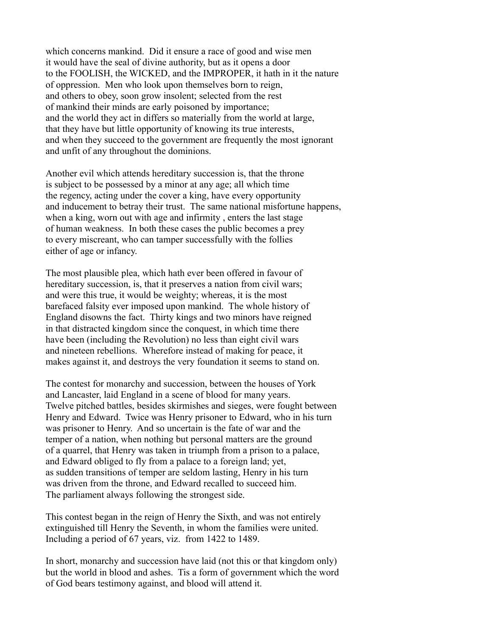which concerns mankind. Did it ensure a race of good and wise men it would have the seal of divine authority, but as it opens a door to the FOOLISH, the WICKED, and the IMPROPER, it hath in it the nature of oppression. Men who look upon themselves born to reign, and others to obey, soon grow insolent; selected from the rest of mankind their minds are early poisoned by importance; and the world they act in differs so materially from the world at large, that they have but little opportunity of knowing its true interests, and when they succeed to the government are frequently the most ignorant and unfit of any throughout the dominions.

Another evil which attends hereditary succession is, that the throne is subject to be possessed by a minor at any age; all which time the regency, acting under the cover a king, have every opportunity and inducement to betray their trust. The same national misfortune happens, when a king, worn out with age and infirmity , enters the last stage of human weakness. In both these cases the public becomes a prey to every miscreant, who can tamper successfully with the follies either of age or infancy.

The most plausible plea, which hath ever been offered in favour of hereditary succession, is, that it preserves a nation from civil wars; and were this true, it would be weighty; whereas, it is the most barefaced falsity ever imposed upon mankind. The whole history of England disowns the fact. Thirty kings and two minors have reigned in that distracted kingdom since the conquest, in which time there have been (including the Revolution) no less than eight civil wars and nineteen rebellions. Wherefore instead of making for peace, it makes against it, and destroys the very foundation it seems to stand on.

The contest for monarchy and succession, between the houses of York and Lancaster, laid England in a scene of blood for many years. Twelve pitched battles, besides skirmishes and sieges, were fought between Henry and Edward. Twice was Henry prisoner to Edward, who in his turn was prisoner to Henry. And so uncertain is the fate of war and the temper of a nation, when nothing but personal matters are the ground of a quarrel, that Henry was taken in triumph from a prison to a palace, and Edward obliged to fly from a palace to a foreign land; yet, as sudden transitions of temper are seldom lasting, Henry in his turn was driven from the throne, and Edward recalled to succeed him. The parliament always following the strongest side.

This contest began in the reign of Henry the Sixth, and was not entirely extinguished till Henry the Seventh, in whom the families were united. Including a period of 67 years, viz. from 1422 to 1489.

In short, monarchy and succession have laid (not this or that kingdom only) but the world in blood and ashes. Tis a form of government which the word of God bears testimony against, and blood will attend it.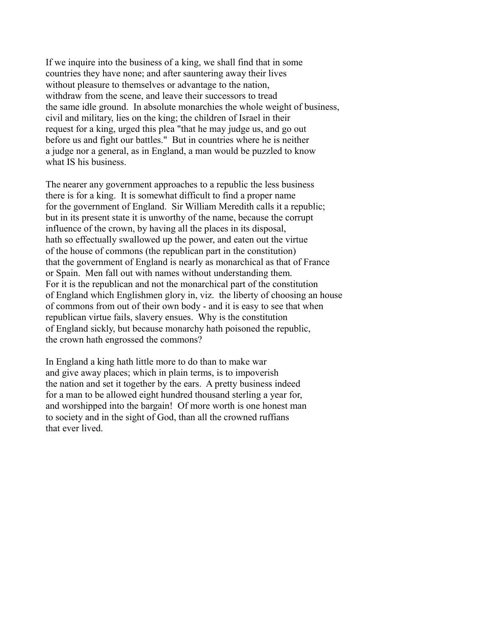If we inquire into the business of a king, we shall find that in some countries they have none; and after sauntering away their lives without pleasure to themselves or advantage to the nation, withdraw from the scene, and leave their successors to tread the same idle ground. In absolute monarchies the whole weight of business, civil and military, lies on the king; the children of Israel in their request for a king, urged this plea "that he may judge us, and go out before us and fight our battles." But in countries where he is neither a judge nor a general, as in England, a man would be puzzled to know what IS his business.

The nearer any government approaches to a republic the less business there is for a king. It is somewhat difficult to find a proper name for the government of England. Sir William Meredith calls it a republic; but in its present state it is unworthy of the name, because the corrupt influence of the crown, by having all the places in its disposal, hath so effectually swallowed up the power, and eaten out the virtue of the house of commons (the republican part in the constitution) that the government of England is nearly as monarchical as that of France or Spain. Men fall out with names without understanding them. For it is the republican and not the monarchical part of the constitution of England which Englishmen glory in, viz. the liberty of choosing an house of commons from out of their own body - and it is easy to see that when republican virtue fails, slavery ensues. Why is the constitution of England sickly, but because monarchy hath poisoned the republic, the crown hath engrossed the commons?

In England a king hath little more to do than to make war and give away places; which in plain terms, is to impoverish the nation and set it together by the ears. A pretty business indeed for a man to be allowed eight hundred thousand sterling a year for, and worshipped into the bargain! Of more worth is one honest man to society and in the sight of God, than all the crowned ruffians that ever lived.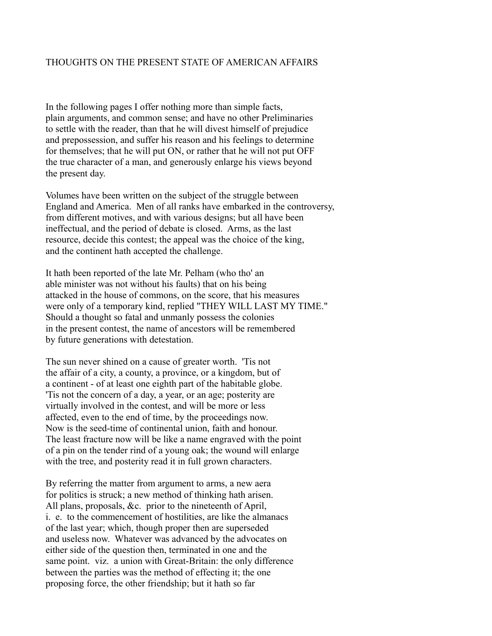# THOUGHTS ON THE PRESENT STATE OF AMERICAN AFFAIRS

In the following pages I offer nothing more than simple facts, plain arguments, and common sense; and have no other Preliminaries to settle with the reader, than that he will divest himself of prejudice and prepossession, and suffer his reason and his feelings to determine for themselves; that he will put ON, or rather that he will not put OFF the true character of a man, and generously enlarge his views beyond the present day.

Volumes have been written on the subject of the struggle between England and America. Men of all ranks have embarked in the controversy, from different motives, and with various designs; but all have been ineffectual, and the period of debate is closed. Arms, as the last resource, decide this contest; the appeal was the choice of the king, and the continent hath accepted the challenge.

It hath been reported of the late Mr. Pelham (who tho' an able minister was not without his faults) that on his being attacked in the house of commons, on the score, that his measures were only of a temporary kind, replied "THEY WILL LAST MY TIME." Should a thought so fatal and unmanly possess the colonies in the present contest, the name of ancestors will be remembered by future generations with detestation.

The sun never shined on a cause of greater worth. 'Tis not the affair of a city, a county, a province, or a kingdom, but of a continent - of at least one eighth part of the habitable globe. 'Tis not the concern of a day, a year, or an age; posterity are virtually involved in the contest, and will be more or less affected, even to the end of time, by the proceedings now. Now is the seed-time of continental union, faith and honour. The least fracture now will be like a name engraved with the point of a pin on the tender rind of a young oak; the wound will enlarge with the tree, and posterity read it in full grown characters.

By referring the matter from argument to arms, a new aera for politics is struck; a new method of thinking hath arisen. All plans, proposals, &c. prior to the nineteenth of April, i. e. to the commencement of hostilities, are like the almanacs of the last year; which, though proper then are superseded and useless now. Whatever was advanced by the advocates on either side of the question then, terminated in one and the same point. viz. a union with Great-Britain: the only difference between the parties was the method of effecting it; the one proposing force, the other friendship; but it hath so far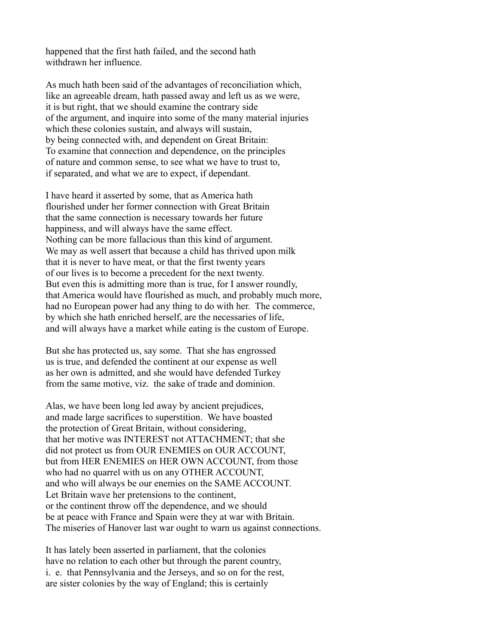happened that the first hath failed, and the second hath withdrawn her influence.

As much hath been said of the advantages of reconciliation which, like an agreeable dream, hath passed away and left us as we were, it is but right, that we should examine the contrary side of the argument, and inquire into some of the many material injuries which these colonies sustain, and always will sustain, by being connected with, and dependent on Great Britain: To examine that connection and dependence, on the principles of nature and common sense, to see what we have to trust to, if separated, and what we are to expect, if dependant.

I have heard it asserted by some, that as America hath flourished under her former connection with Great Britain that the same connection is necessary towards her future happiness, and will always have the same effect. Nothing can be more fallacious than this kind of argument. We may as well assert that because a child has thrived upon milk that it is never to have meat, or that the first twenty years of our lives is to become a precedent for the next twenty. But even this is admitting more than is true, for I answer roundly, that America would have flourished as much, and probably much more, had no European power had any thing to do with her. The commerce, by which she hath enriched herself, are the necessaries of life, and will always have a market while eating is the custom of Europe.

But she has protected us, say some. That she has engrossed us is true, and defended the continent at our expense as well as her own is admitted, and she would have defended Turkey from the same motive, viz. the sake of trade and dominion.

Alas, we have been long led away by ancient prejudices, and made large sacrifices to superstition. We have boasted the protection of Great Britain, without considering, that her motive was INTEREST not ATTACHMENT; that she did not protect us from OUR ENEMIES on OUR ACCOUNT, but from HER ENEMIES on HER OWN ACCOUNT, from those who had no quarrel with us on any OTHER ACCOUNT, and who will always be our enemies on the SAME ACCOUNT. Let Britain wave her pretensions to the continent, or the continent throw off the dependence, and we should be at peace with France and Spain were they at war with Britain. The miseries of Hanover last war ought to warn us against connections.

It has lately been asserted in parliament, that the colonies have no relation to each other but through the parent country, i. e. that Pennsylvania and the Jerseys, and so on for the rest, are sister colonies by the way of England; this is certainly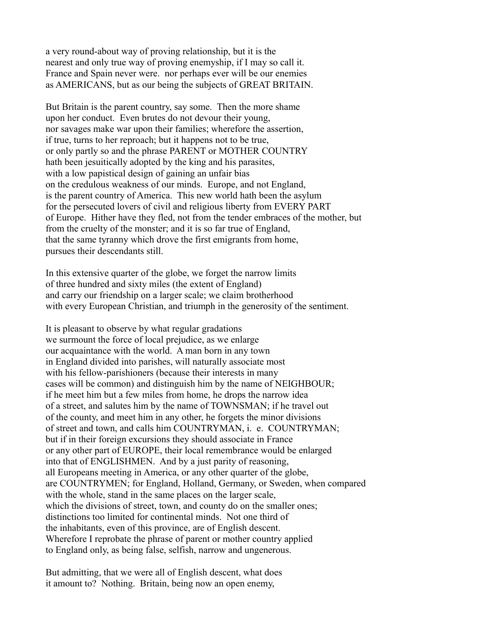a very round-about way of proving relationship, but it is the nearest and only true way of proving enemyship, if I may so call it. France and Spain never were. nor perhaps ever will be our enemies as AMERICANS, but as our being the subjects of GREAT BRITAIN.

But Britain is the parent country, say some. Then the more shame upon her conduct. Even brutes do not devour their young, nor savages make war upon their families; wherefore the assertion, if true, turns to her reproach; but it happens not to be true, or only partly so and the phrase PARENT or MOTHER COUNTRY hath been jesuitically adopted by the king and his parasites, with a low papistical design of gaining an unfair bias on the credulous weakness of our minds. Europe, and not England, is the parent country of America. This new world hath been the asylum for the persecuted lovers of civil and religious liberty from EVERY PART of Europe. Hither have they fled, not from the tender embraces of the mother, but from the cruelty of the monster; and it is so far true of England, that the same tyranny which drove the first emigrants from home, pursues their descendants still.

In this extensive quarter of the globe, we forget the narrow limits of three hundred and sixty miles (the extent of England) and carry our friendship on a larger scale; we claim brotherhood with every European Christian, and triumph in the generosity of the sentiment.

It is pleasant to observe by what regular gradations we surmount the force of local prejudice, as we enlarge our acquaintance with the world. A man born in any town in England divided into parishes, will naturally associate most with his fellow-parishioners (because their interests in many cases will be common) and distinguish him by the name of NEIGHBOUR; if he meet him but a few miles from home, he drops the narrow idea of a street, and salutes him by the name of TOWNSMAN; if he travel out of the county, and meet him in any other, he forgets the minor divisions of street and town, and calls him COUNTRYMAN, i. e. COUNTRYMAN; but if in their foreign excursions they should associate in France or any other part of EUROPE, their local remembrance would be enlarged into that of ENGLISHMEN. And by a just parity of reasoning, all Europeans meeting in America, or any other quarter of the globe, are COUNTRYMEN; for England, Holland, Germany, or Sweden, when compared with the whole, stand in the same places on the larger scale, which the divisions of street, town, and county do on the smaller ones; distinctions too limited for continental minds. Not one third of the inhabitants, even of this province, are of English descent. Wherefore I reprobate the phrase of parent or mother country applied to England only, as being false, selfish, narrow and ungenerous.

But admitting, that we were all of English descent, what does it amount to? Nothing. Britain, being now an open enemy,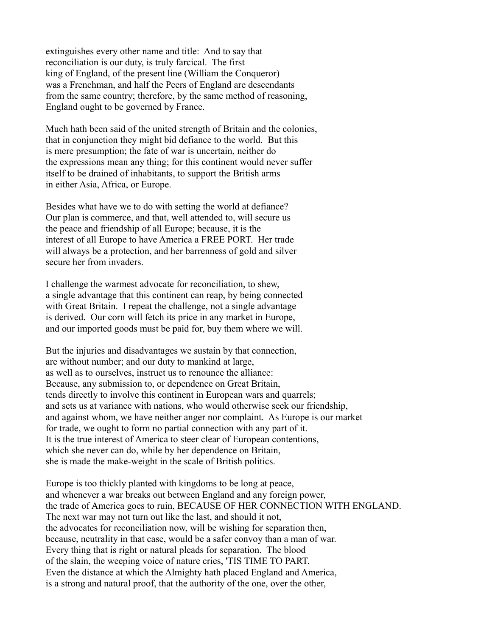extinguishes every other name and title: And to say that reconciliation is our duty, is truly farcical. The first king of England, of the present line (William the Conqueror) was a Frenchman, and half the Peers of England are descendants from the same country; therefore, by the same method of reasoning, England ought to be governed by France.

Much hath been said of the united strength of Britain and the colonies, that in conjunction they might bid defiance to the world. But this is mere presumption; the fate of war is uncertain, neither do the expressions mean any thing; for this continent would never suffer itself to be drained of inhabitants, to support the British arms in either Asia, Africa, or Europe.

Besides what have we to do with setting the world at defiance? Our plan is commerce, and that, well attended to, will secure us the peace and friendship of all Europe; because, it is the interest of all Europe to have America a FREE PORT. Her trade will always be a protection, and her barrenness of gold and silver secure her from invaders.

I challenge the warmest advocate for reconciliation, to shew, a single advantage that this continent can reap, by being connected with Great Britain. I repeat the challenge, not a single advantage is derived. Our corn will fetch its price in any market in Europe, and our imported goods must be paid for, buy them where we will.

But the injuries and disadvantages we sustain by that connection, are without number; and our duty to mankind at large, as well as to ourselves, instruct us to renounce the alliance: Because, any submission to, or dependence on Great Britain, tends directly to involve this continent in European wars and quarrels; and sets us at variance with nations, who would otherwise seek our friendship, and against whom, we have neither anger nor complaint. As Europe is our market for trade, we ought to form no partial connection with any part of it. It is the true interest of America to steer clear of European contentions, which she never can do, while by her dependence on Britain, she is made the make-weight in the scale of British politics.

Europe is too thickly planted with kingdoms to be long at peace, and whenever a war breaks out between England and any foreign power, the trade of America goes to ruin, BECAUSE OF HER CONNECTION WITH ENGLAND. The next war may not turn out like the last, and should it not, the advocates for reconciliation now, will be wishing for separation then, because, neutrality in that case, would be a safer convoy than a man of war. Every thing that is right or natural pleads for separation. The blood of the slain, the weeping voice of nature cries, 'TIS TIME TO PART. Even the distance at which the Almighty hath placed England and America, is a strong and natural proof, that the authority of the one, over the other,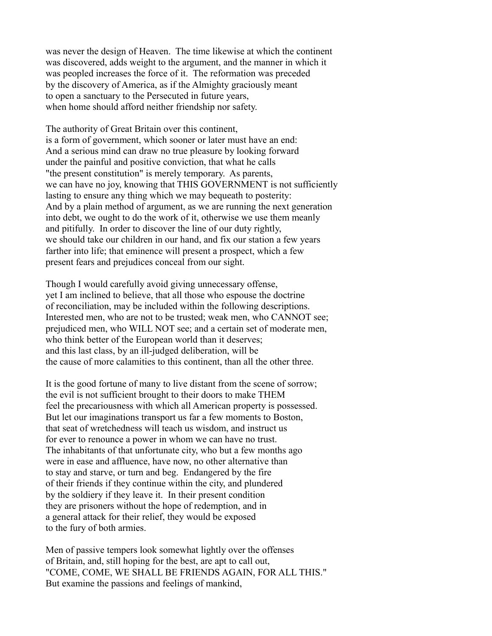was never the design of Heaven. The time likewise at which the continent was discovered, adds weight to the argument, and the manner in which it was peopled increases the force of it. The reformation was preceded by the discovery of America, as if the Almighty graciously meant to open a sanctuary to the Persecuted in future years, when home should afford neither friendship nor safety.

The authority of Great Britain over this continent, is a form of government, which sooner or later must have an end: And a serious mind can draw no true pleasure by looking forward under the painful and positive conviction, that what he calls "the present constitution" is merely temporary. As parents, we can have no joy, knowing that THIS GOVERNMENT is not sufficiently lasting to ensure any thing which we may bequeath to posterity: And by a plain method of argument, as we are running the next generation into debt, we ought to do the work of it, otherwise we use them meanly and pitifully. In order to discover the line of our duty rightly, we should take our children in our hand, and fix our station a few years farther into life; that eminence will present a prospect, which a few present fears and prejudices conceal from our sight.

Though I would carefully avoid giving unnecessary offense, yet I am inclined to believe, that all those who espouse the doctrine of reconciliation, may be included within the following descriptions. Interested men, who are not to be trusted; weak men, who CANNOT see; prejudiced men, who WILL NOT see; and a certain set of moderate men, who think better of the European world than it deserves; and this last class, by an ill-judged deliberation, will be the cause of more calamities to this continent, than all the other three.

It is the good fortune of many to live distant from the scene of sorrow; the evil is not sufficient brought to their doors to make THEM feel the precariousness with which all American property is possessed. But let our imaginations transport us far a few moments to Boston, that seat of wretchedness will teach us wisdom, and instruct us for ever to renounce a power in whom we can have no trust. The inhabitants of that unfortunate city, who but a few months ago were in ease and affluence, have now, no other alternative than to stay and starve, or turn and beg. Endangered by the fire of their friends if they continue within the city, and plundered by the soldiery if they leave it. In their present condition they are prisoners without the hope of redemption, and in a general attack for their relief, they would be exposed to the fury of both armies.

Men of passive tempers look somewhat lightly over the offenses of Britain, and, still hoping for the best, are apt to call out, "COME, COME, WE SHALL BE FRIENDS AGAIN, FOR ALL THIS." But examine the passions and feelings of mankind,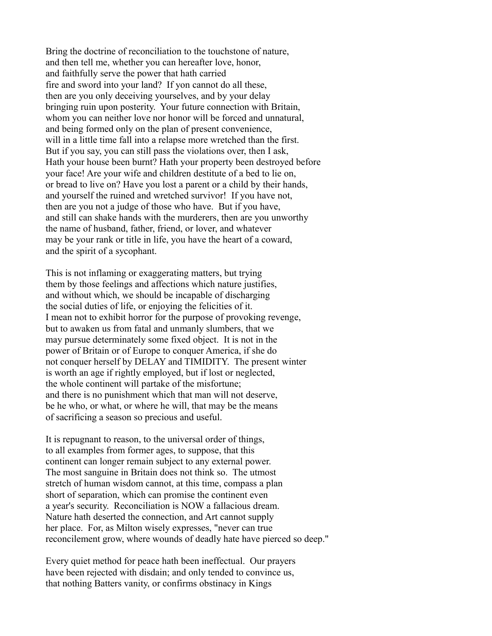Bring the doctrine of reconciliation to the touchstone of nature, and then tell me, whether you can hereafter love, honor, and faithfully serve the power that hath carried fire and sword into your land? If yon cannot do all these, then are you only deceiving yourselves, and by your delay bringing ruin upon posterity. Your future connection with Britain, whom you can neither love nor honor will be forced and unnatural, and being formed only on the plan of present convenience, will in a little time fall into a relapse more wretched than the first. But if you say, you can still pass the violations over, then I ask, Hath your house been burnt? Hath your property been destroyed before your face! Are your wife and children destitute of a bed to lie on, or bread to live on? Have you lost a parent or a child by their hands, and yourself the ruined and wretched survivor! If you have not, then are you not a judge of those who have. But if you have, and still can shake hands with the murderers, then are you unworthy the name of husband, father, friend, or lover, and whatever may be your rank or title in life, you have the heart of a coward, and the spirit of a sycophant.

This is not inflaming or exaggerating matters, but trying them by those feelings and affections which nature justifies, and without which, we should be incapable of discharging the social duties of life, or enjoying the felicities of it. I mean not to exhibit horror for the purpose of provoking revenge, but to awaken us from fatal and unmanly slumbers, that we may pursue determinately some fixed object. It is not in the power of Britain or of Europe to conquer America, if she do not conquer herself by DELAY and TIMIDITY. The present winter is worth an age if rightly employed, but if lost or neglected, the whole continent will partake of the misfortune; and there is no punishment which that man will not deserve, be he who, or what, or where he will, that may be the means of sacrificing a season so precious and useful.

It is repugnant to reason, to the universal order of things, to all examples from former ages, to suppose, that this continent can longer remain subject to any external power. The most sanguine in Britain does not think so. The utmost stretch of human wisdom cannot, at this time, compass a plan short of separation, which can promise the continent even a year's security. Reconciliation is NOW a fallacious dream. Nature hath deserted the connection, and Art cannot supply her place. For, as Milton wisely expresses, "never can true reconcilement grow, where wounds of deadly hate have pierced so deep."

Every quiet method for peace hath been ineffectual. Our prayers have been rejected with disdain; and only tended to convince us, that nothing Batters vanity, or confirms obstinacy in Kings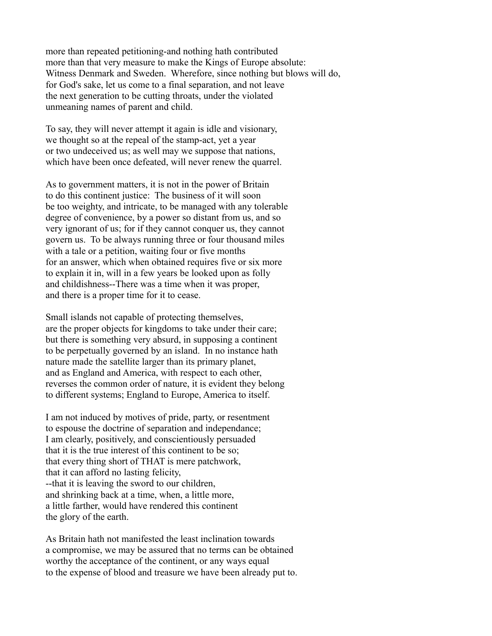more than repeated petitioning-and nothing hath contributed more than that very measure to make the Kings of Europe absolute: Witness Denmark and Sweden. Wherefore, since nothing but blows will do, for God's sake, let us come to a final separation, and not leave the next generation to be cutting throats, under the violated unmeaning names of parent and child.

To say, they will never attempt it again is idle and visionary, we thought so at the repeal of the stamp-act, yet a year or two undeceived us; as well may we suppose that nations, which have been once defeated, will never renew the quarrel.

As to government matters, it is not in the power of Britain to do this continent justice: The business of it will soon be too weighty, and intricate, to be managed with any tolerable degree of convenience, by a power so distant from us, and so very ignorant of us; for if they cannot conquer us, they cannot govern us. To be always running three or four thousand miles with a tale or a petition, waiting four or five months for an answer, which when obtained requires five or six more to explain it in, will in a few years be looked upon as folly and childishness--There was a time when it was proper, and there is a proper time for it to cease.

Small islands not capable of protecting themselves, are the proper objects for kingdoms to take under their care; but there is something very absurd, in supposing a continent to be perpetually governed by an island. In no instance hath nature made the satellite larger than its primary planet, and as England and America, with respect to each other, reverses the common order of nature, it is evident they belong to different systems; England to Europe, America to itself.

I am not induced by motives of pride, party, or resentment to espouse the doctrine of separation and independance; I am clearly, positively, and conscientiously persuaded that it is the true interest of this continent to be so; that every thing short of THAT is mere patchwork, that it can afford no lasting felicity, --that it is leaving the sword to our children, and shrinking back at a time, when, a little more, a little farther, would have rendered this continent the glory of the earth.

As Britain hath not manifested the least inclination towards a compromise, we may be assured that no terms can be obtained worthy the acceptance of the continent, or any ways equal to the expense of blood and treasure we have been already put to.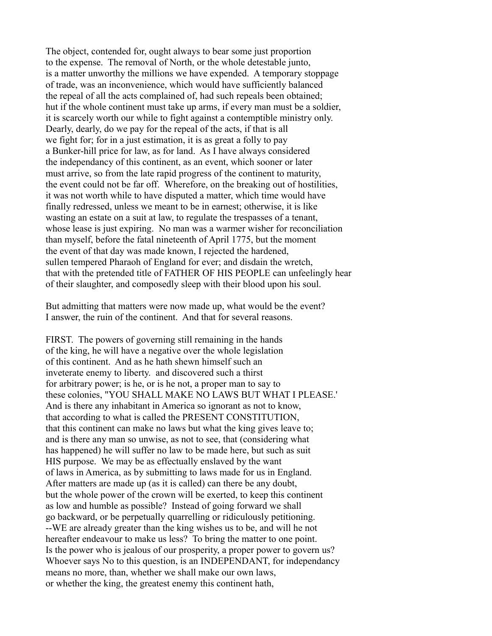The object, contended for, ought always to bear some just proportion to the expense. The removal of North, or the whole detestable junto, is a matter unworthy the millions we have expended. A temporary stoppage of trade, was an inconvenience, which would have sufficiently balanced the repeal of all the acts complained of, had such repeals been obtained; hut if the whole continent must take up arms, if every man must be a soldier, it is scarcely worth our while to fight against a contemptible ministry only. Dearly, dearly, do we pay for the repeal of the acts, if that is all we fight for; for in a just estimation, it is as great a folly to pay a Bunker-hill price for law, as for land. As I have always considered the independancy of this continent, as an event, which sooner or later must arrive, so from the late rapid progress of the continent to maturity, the event could not be far off. Wherefore, on the breaking out of hostilities, it was not worth while to have disputed a matter, which time would have finally redressed, unless we meant to be in earnest; otherwise, it is like wasting an estate on a suit at law, to regulate the trespasses of a tenant, whose lease is just expiring. No man was a warmer wisher for reconciliation than myself, before the fatal nineteenth of April 1775, but the moment the event of that day was made known, I rejected the hardened, sullen tempered Pharaoh of England for ever; and disdain the wretch, that with the pretended title of FATHER OF HIS PEOPLE can unfeelingly hear of their slaughter, and composedly sleep with their blood upon his soul.

But admitting that matters were now made up, what would be the event? I answer, the ruin of the continent. And that for several reasons.

FIRST. The powers of governing still remaining in the hands of the king, he will have a negative over the whole legislation of this continent. And as he hath shewn himself such an inveterate enemy to liberty. and discovered such a thirst for arbitrary power; is he, or is he not, a proper man to say to these colonies, "YOU SHALL MAKE NO LAWS BUT WHAT I PLEASE.' And is there any inhabitant in America so ignorant as not to know, that according to what is called the PRESENT CONSTITUTION, that this continent can make no laws but what the king gives leave to; and is there any man so unwise, as not to see, that (considering what has happened) he will suffer no law to be made here, but such as suit HIS purpose. We may be as effectually enslaved by the want of laws in America, as by submitting to laws made for us in England. After matters are made up (as it is called) can there be any doubt, but the whole power of the crown will be exerted, to keep this continent as low and humble as possible? Instead of going forward we shall go backward, or be perpetually quarrelling or ridiculously petitioning. --WE are already greater than the king wishes us to be, and will he not hereafter endeavour to make us less? To bring the matter to one point. Is the power who is jealous of our prosperity, a proper power to govern us? Whoever says No to this question, is an INDEPENDANT, for independancy means no more, than, whether we shall make our own laws, or whether the king, the greatest enemy this continent hath,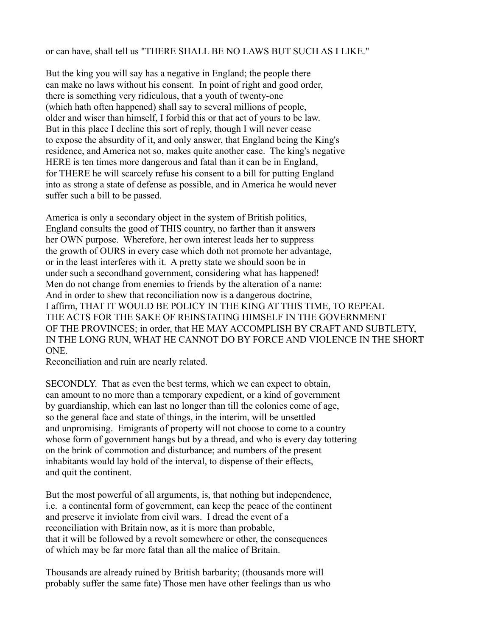# or can have, shall tell us "THERE SHALL BE NO LAWS BUT SUCH AS I LIKE."

But the king you will say has a negative in England; the people there can make no laws without his consent. In point of right and good order, there is something very ridiculous, that a youth of twenty-one (which hath often happened) shall say to several millions of people, older and wiser than himself, I forbid this or that act of yours to be law. But in this place I decline this sort of reply, though I will never cease to expose the absurdity of it, and only answer, that England being the King's residence, and America not so, makes quite another case. The king's negative HERE is ten times more dangerous and fatal than it can be in England, for THERE he will scarcely refuse his consent to a bill for putting England into as strong a state of defense as possible, and in America he would never suffer such a bill to be passed.

America is only a secondary object in the system of British politics, England consults the good of THIS country, no farther than it answers her OWN purpose. Wherefore, her own interest leads her to suppress the growth of OURS in every case which doth not promote her advantage, or in the least interferes with it. A pretty state we should soon be in under such a secondhand government, considering what has happened! Men do not change from enemies to friends by the alteration of a name: And in order to shew that reconciliation now is a dangerous doctrine, I affirm, THAT IT WOULD BE POLICY IN THE KING AT THIS TIME, TO REPEAL THE ACTS FOR THE SAKE OF REINSTATING HIMSELF IN THE GOVERNMENT OF THE PROVINCES; in order, that HE MAY ACCOMPLISH BY CRAFT AND SUBTLETY, IN THE LONG RUN, WHAT HE CANNOT DO BY FORCE AND VIOLENCE IN THE SHORT ONE.

Reconciliation and ruin are nearly related.

SECONDLY. That as even the best terms, which we can expect to obtain, can amount to no more than a temporary expedient, or a kind of government by guardianship, which can last no longer than till the colonies come of age, so the general face and state of things, in the interim, will be unsettled and unpromising. Emigrants of property will not choose to come to a country whose form of government hangs but by a thread, and who is every day tottering on the brink of commotion and disturbance; and numbers of the present inhabitants would lay hold of the interval, to dispense of their effects, and quit the continent.

But the most powerful of all arguments, is, that nothing but independence, i.e. a continental form of government, can keep the peace of the continent and preserve it inviolate from civil wars. I dread the event of a reconciliation with Britain now, as it is more than probable, that it will be followed by a revolt somewhere or other, the consequences of which may be far more fatal than all the malice of Britain.

Thousands are already ruined by British barbarity; (thousands more will probably suffer the same fate) Those men have other feelings than us who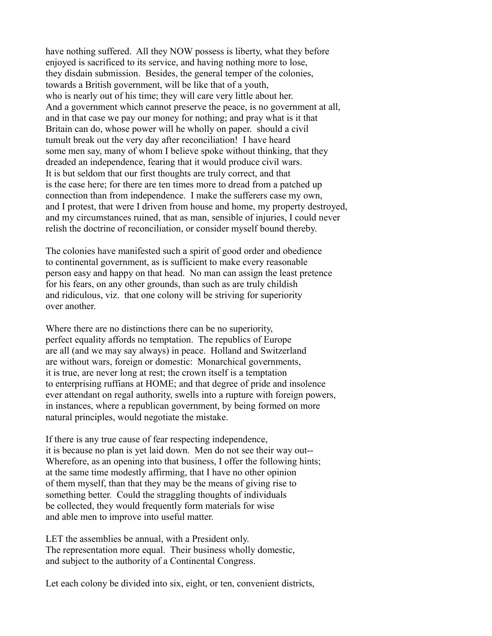have nothing suffered. All they NOW possess is liberty, what they before enjoyed is sacrificed to its service, and having nothing more to lose, they disdain submission. Besides, the general temper of the colonies, towards a British government, will be like that of a youth, who is nearly out of his time; they will care very little about her. And a government which cannot preserve the peace, is no government at all, and in that case we pay our money for nothing; and pray what is it that Britain can do, whose power will he wholly on paper. should a civil tumult break out the very day after reconciliation! I have heard some men say, many of whom I believe spoke without thinking, that they dreaded an independence, fearing that it would produce civil wars. It is but seldom that our first thoughts are truly correct, and that is the case here; for there are ten times more to dread from a patched up connection than from independence. I make the sufferers case my own, and I protest, that were I driven from house and home, my property destroyed, and my circumstances ruined, that as man, sensible of injuries, I could never relish the doctrine of reconciliation, or consider myself bound thereby.

The colonies have manifested such a spirit of good order and obedience to continental government, as is sufficient to make every reasonable person easy and happy on that head. No man can assign the least pretence for his fears, on any other grounds, than such as are truly childish and ridiculous, viz. that one colony will be striving for superiority over another.

Where there are no distinctions there can be no superiority, perfect equality affords no temptation. The republics of Europe are all (and we may say always) in peace. Holland and Switzerland are without wars, foreign or domestic: Monarchical governments, it is true, are never long at rest; the crown itself is a temptation to enterprising ruffians at HOME; and that degree of pride and insolence ever attendant on regal authority, swells into a rupture with foreign powers, in instances, where a republican government, by being formed on more natural principles, would negotiate the mistake.

If there is any true cause of fear respecting independence, it is because no plan is yet laid down. Men do not see their way out-- Wherefore, as an opening into that business, I offer the following hints; at the same time modestly affirming, that I have no other opinion of them myself, than that they may be the means of giving rise to something better. Could the straggling thoughts of individuals be collected, they would frequently form materials for wise and able men to improve into useful matter.

LET the assemblies be annual, with a President only. The representation more equal. Their business wholly domestic, and subject to the authority of a Continental Congress.

Let each colony be divided into six, eight, or ten, convenient districts,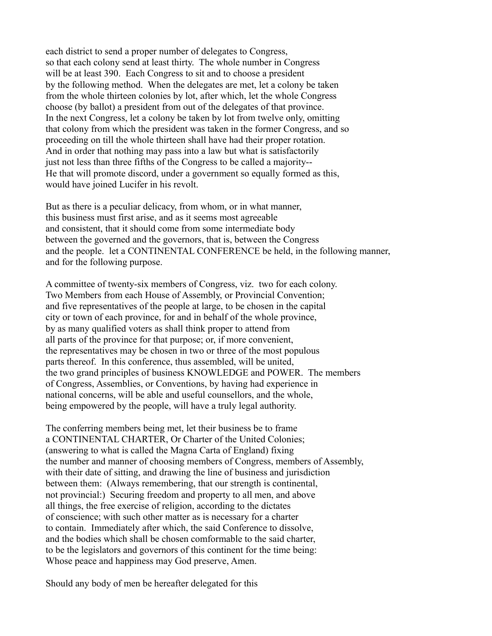each district to send a proper number of delegates to Congress, so that each colony send at least thirty. The whole number in Congress will be at least 390. Each Congress to sit and to choose a president by the following method. When the delegates are met, let a colony be taken from the whole thirteen colonies by lot, after which, let the whole Congress choose (by ballot) a president from out of the delegates of that province. In the next Congress, let a colony be taken by lot from twelve only, omitting that colony from which the president was taken in the former Congress, and so proceeding on till the whole thirteen shall have had their proper rotation. And in order that nothing may pass into a law but what is satisfactorily just not less than three fifths of the Congress to be called a majority-- He that will promote discord, under a government so equally formed as this, would have joined Lucifer in his revolt.

But as there is a peculiar delicacy, from whom, or in what manner, this business must first arise, and as it seems most agreeable and consistent, that it should come from some intermediate body between the governed and the governors, that is, between the Congress and the people. let a CONTINENTAL CONFERENCE be held, in the following manner, and for the following purpose.

A committee of twenty-six members of Congress, viz. two for each colony. Two Members from each House of Assembly, or Provincial Convention; and five representatives of the people at large, to be chosen in the capital city or town of each province, for and in behalf of the whole province, by as many qualified voters as shall think proper to attend from all parts of the province for that purpose; or, if more convenient, the representatives may be chosen in two or three of the most populous parts thereof. In this conference, thus assembled, will be united, the two grand principles of business KNOWLEDGE and POWER. The members of Congress, Assemblies, or Conventions, by having had experience in national concerns, will be able and useful counsellors, and the whole, being empowered by the people, will have a truly legal authority.

The conferring members being met, let their business be to frame a CONTINENTAL CHARTER, Or Charter of the United Colonies; (answering to what is called the Magna Carta of England) fixing the number and manner of choosing members of Congress, members of Assembly, with their date of sitting, and drawing the line of business and jurisdiction between them: (Always remembering, that our strength is continental, not provincial:) Securing freedom and property to all men, and above all things, the free exercise of religion, according to the dictates of conscience; with such other matter as is necessary for a charter to contain. Immediately after which, the said Conference to dissolve, and the bodies which shall be chosen comformable to the said charter, to be the legislators and governors of this continent for the time being: Whose peace and happiness may God preserve, Amen.

Should any body of men be hereafter delegated for this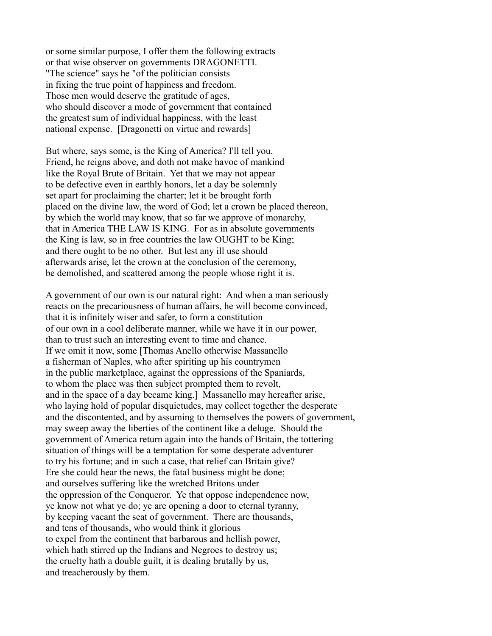or some similar purpose, I offer them the following extracts or that wise observer on governments DRAGONETTI. "The science" says he "of the politician consists in fixing the true point of happiness and freedom. Those men would deserve the gratitude of ages, who should discover a mode of government that contained the greatest sum of individual happiness, with the least national expense. [Dragonetti on virtue and rewards]

But where, says some, is the King of America? I'll tell you. Friend, he reigns above, and doth not make havoc of mankind like the Royal Brute of Britain. Yet that we may not appear to be defective even in earthly honors, let a day be solemnly set apart for proclaiming the charter; let it be brought forth placed on the divine law, the word of God; let a crown be placed thereon, by which the world may know, that so far we approve of monarchy, that in America THE LAW IS KING. For as in absolute governments the King is law, so in free countries the law OUGHT to be King; and there ought to be no other. But lest any ill use should afterwards arise, let the crown at the conclusion of the ceremony, be demolished, and scattered among the people whose right it is.

A government of our own is our natural right: And when a man seriously reacts on the precariousness of human affairs, he will become convinced, that it is infinitely wiser and safer, to form a constitution of our own in a cool deliberate manner, while we have it in our power, than to trust such an interesting event to time and chance. If we omit it now, some [Thomas Anello otherwise Massanello a fisherman of Naples, who after spiriting up his countrymen in the public marketplace, against the oppressions of the Spaniards, to whom the place was then subject prompted them to revolt, and in the space of a day became king.] Massanello may hereafter arise, who laying hold of popular disquietudes, may collect together the desperate and the discontented, and by assuming to themselves the powers of government, may sweep away the liberties of the continent like a deluge. Should the government of America return again into the hands of Britain, the tottering situation of things will be a temptation for some desperate adventurer to try his fortune; and in such a case, that relief can Britain give? Ere she could hear the news, the fatal business might be done; and ourselves suffering like the wretched Britons under the oppression of the Conqueror. Ye that oppose independence now, ye know not what ye do; ye are opening a door to eternal tyranny, by keeping vacant the seat of government. There are thousands, and tens of thousands, who would think it glorious to expel from the continent that barbarous and hellish power, which hath stirred up the Indians and Negroes to destroy us; the cruelty hath a double guilt, it is dealing brutally by us, and treacherously by them.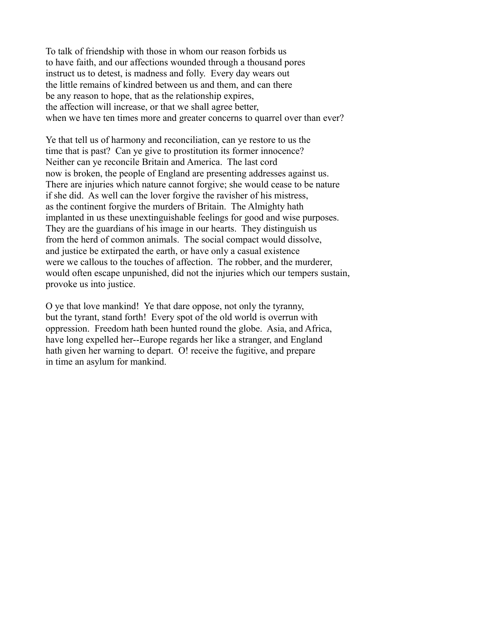To talk of friendship with those in whom our reason forbids us to have faith, and our affections wounded through a thousand pores instruct us to detest, is madness and folly. Every day wears out the little remains of kindred between us and them, and can there be any reason to hope, that as the relationship expires, the affection will increase, or that we shall agree better, when we have ten times more and greater concerns to quarrel over than ever?

Ye that tell us of harmony and reconciliation, can ye restore to us the time that is past? Can ye give to prostitution its former innocence? Neither can ye reconcile Britain and America. The last cord now is broken, the people of England are presenting addresses against us. There are injuries which nature cannot forgive; she would cease to be nature if she did. As well can the lover forgive the ravisher of his mistress, as the continent forgive the murders of Britain. The Almighty hath implanted in us these unextinguishable feelings for good and wise purposes. They are the guardians of his image in our hearts. They distinguish us from the herd of common animals. The social compact would dissolve, and justice be extirpated the earth, or have only a casual existence were we callous to the touches of affection. The robber, and the murderer, would often escape unpunished, did not the injuries which our tempers sustain, provoke us into justice.

O ye that love mankind! Ye that dare oppose, not only the tyranny, but the tyrant, stand forth! Every spot of the old world is overrun with oppression. Freedom hath been hunted round the globe. Asia, and Africa, have long expelled her--Europe regards her like a stranger, and England hath given her warning to depart. O! receive the fugitive, and prepare in time an asylum for mankind.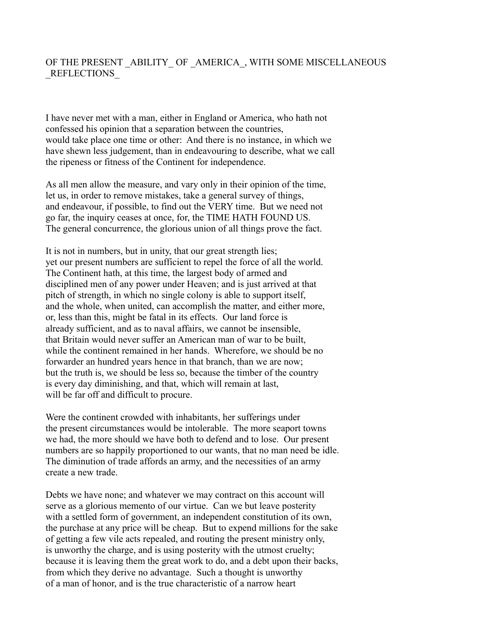# OF THE PRESENT ABILITY OF AMERICA, WITH SOME MISCELLANEOUS \_REFLECTIONS\_

I have never met with a man, either in England or America, who hath not confessed his opinion that a separation between the countries, would take place one time or other: And there is no instance, in which we have shewn less judgement, than in endeavouring to describe, what we call the ripeness or fitness of the Continent for independence.

As all men allow the measure, and vary only in their opinion of the time, let us, in order to remove mistakes, take a general survey of things, and endeavour, if possible, to find out the VERY time. But we need not go far, the inquiry ceases at once, for, the TIME HATH FOUND US. The general concurrence, the glorious union of all things prove the fact.

It is not in numbers, but in unity, that our great strength lies; yet our present numbers are sufficient to repel the force of all the world. The Continent hath, at this time, the largest body of armed and disciplined men of any power under Heaven; and is just arrived at that pitch of strength, in which no single colony is able to support itself, and the whole, when united, can accomplish the matter, and either more, or, less than this, might be fatal in its effects. Our land force is already sufficient, and as to naval affairs, we cannot be insensible, that Britain would never suffer an American man of war to be built, while the continent remained in her hands. Wherefore, we should be no forwarder an hundred years hence in that branch, than we are now; but the truth is, we should be less so, because the timber of the country is every day diminishing, and that, which will remain at last, will be far off and difficult to procure.

Were the continent crowded with inhabitants, her sufferings under the present circumstances would be intolerable. The more seaport towns we had, the more should we have both to defend and to lose. Our present numbers are so happily proportioned to our wants, that no man need be idle. The diminution of trade affords an army, and the necessities of an army create a new trade.

Debts we have none; and whatever we may contract on this account will serve as a glorious memento of our virtue. Can we but leave posterity with a settled form of government, an independent constitution of its own, the purchase at any price will be cheap. But to expend millions for the sake of getting a few vile acts repealed, and routing the present ministry only, is unworthy the charge, and is using posterity with the utmost cruelty; because it is leaving them the great work to do, and a debt upon their backs, from which they derive no advantage. Such a thought is unworthy of a man of honor, and is the true characteristic of a narrow heart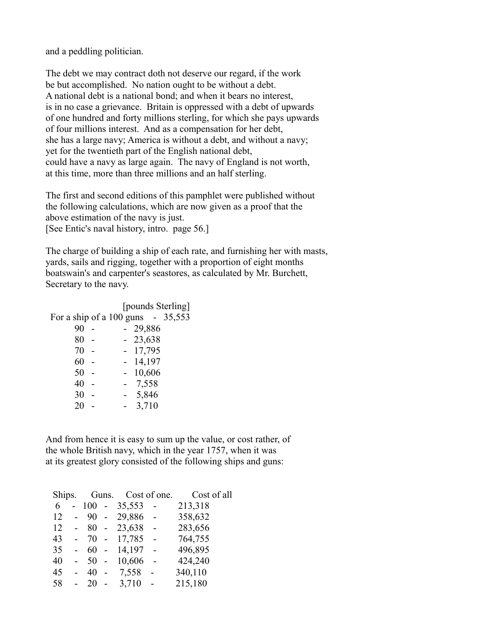and a peddling politician.

The debt we may contract doth not deserve our regard, if the work be but accomplished. No nation ought to be without a debt. A national debt is a national bond; and when it bears no interest, is in no case a grievance. Britain is oppressed with a debt of upwards of one hundred and forty millions sterling, for which she pays upwards of four millions interest. And as a compensation for her debt, she has a large navy; America is without a debt, and without a navy; yet for the twentieth part of the English national debt, could have a navy as large again. The navy of England is not worth, at this time, more than three millions and an half sterling.

The first and second editions of this pamphlet were published without the following calculations, which are now given as a proof that the above estimation of the navy is just. [See Entic's naval history, intro. page 56.]

The charge of building a ship of each rate, and furnishing her with masts, yards, sails and rigging, together with a proportion of eight months boatswain's and carpenter's seastores, as calculated by Mr. Burchett, Secretary to the navy.

 [pounds Sterling] For a ship of a  $100 \text{ guns} - 35,553$  90 - - 29,886 80 - - 23,638 70 - - 17,795 60 - - 14,197 50 - - 10,606 40 - - 7,558 30 - - 5,846  $20 - 3,710$ 

And from hence it is easy to sum up the value, or cost rather, of the whole British navy, which in the year 1757, when it was at its greatest glory consisted of the following ships and guns:

| Ships. |     |                          | Guns. Cost of one. |                | Cost of all |
|--------|-----|--------------------------|--------------------|----------------|-------------|
| 6      | 100 | $\sim 10$                | 35,553             | $\overline{a}$ | 213,318     |
| 12     | 90  | $\sim$                   | 29,886             |                | 358,632     |
| 12     | 80  | $\sim$ $-$               | 23,638 -           |                | 283,656     |
| 43     | 70  | $\overline{a}$           | 17,785             |                | 764,755     |
| 35     | 60  | $\overline{a}$           | 14,197             |                | 496,895     |
| 40     | 50  |                          | 10,606             |                | 424,240     |
| 45     | 40  | $\overline{\phantom{a}}$ | 7,558              |                | 340,110     |
| 58     | 20  |                          | 3,710              |                | 215,180     |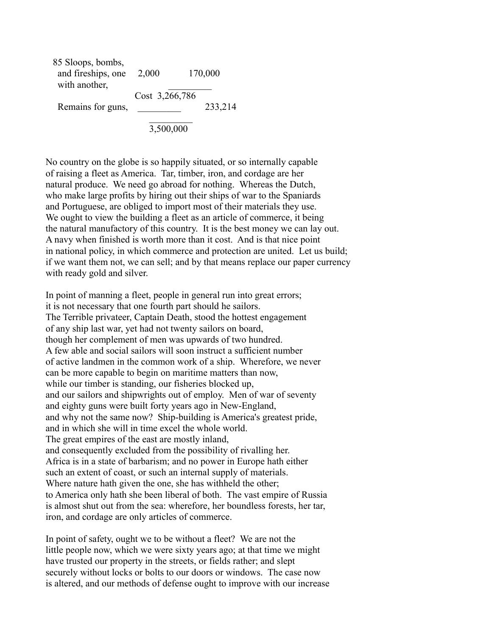| 85 Sloops, bombs,  |                |         |
|--------------------|----------------|---------|
| and fireships, one | 2,000          | 170,000 |
| with another,      |                |         |
|                    | Cost 3,266,786 |         |
| Remains for guns,  |                | 233,214 |
|                    |                |         |

No country on the globe is so happily situated, or so internally capable of raising a fleet as America. Tar, timber, iron, and cordage are her natural produce. We need go abroad for nothing. Whereas the Dutch, who make large profits by hiring out their ships of war to the Spaniards and Portuguese, are obliged to import most of their materials they use. We ought to view the building a fleet as an article of commerce, it being the natural manufactory of this country. It is the best money we can lay out. A navy when finished is worth more than it cost. And is that nice point in national policy, in which commerce and protection are united. Let us build; if we want them not, we can sell; and by that means replace our paper currency with ready gold and silver.

In point of manning a fleet, people in general run into great errors; it is not necessary that one fourth part should he sailors. The Terrible privateer, Captain Death, stood the hottest engagement of any ship last war, yet had not twenty sailors on board, though her complement of men was upwards of two hundred. A few able and social sailors will soon instruct a sufficient number of active landmen in the common work of a ship. Wherefore, we never can be more capable to begin on maritime matters than now, while our timber is standing, our fisheries blocked up, and our sailors and shipwrights out of employ. Men of war of seventy and eighty guns were built forty years ago in New-England, and why not the same now? Ship-building is America's greatest pride, and in which she will in time excel the whole world. The great empires of the east are mostly inland, and consequently excluded from the possibility of rivalling her. Africa is in a state of barbarism; and no power in Europe hath either such an extent of coast, or such an internal supply of materials. Where nature hath given the one, she has withheld the other; to America only hath she been liberal of both. The vast empire of Russia is almost shut out from the sea: wherefore, her boundless forests, her tar, iron, and cordage are only articles of commerce.

In point of safety, ought we to be without a fleet? We are not the little people now, which we were sixty years ago; at that time we might have trusted our property in the streets, or fields rather; and slept securely without locks or bolts to our doors or windows. The case now is altered, and our methods of defense ought to improve with our increase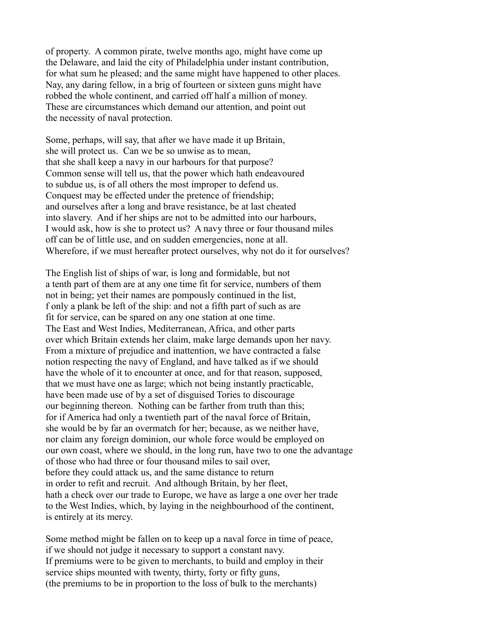of property. A common pirate, twelve months ago, might have come up the Delaware, and laid the city of Philadelphia under instant contribution, for what sum he pleased; and the same might have happened to other places. Nay, any daring fellow, in a brig of fourteen or sixteen guns might have robbed the whole continent, and carried off half a million of money. These are circumstances which demand our attention, and point out the necessity of naval protection.

Some, perhaps, will say, that after we have made it up Britain, she will protect us. Can we be so unwise as to mean, that she shall keep a navy in our harbours for that purpose? Common sense will tell us, that the power which hath endeavoured to subdue us, is of all others the most improper to defend us. Conquest may be effected under the pretence of friendship; and ourselves after a long and brave resistance, be at last cheated into slavery. And if her ships are not to be admitted into our harbours, I would ask, how is she to protect us? A navy three or four thousand miles off can be of little use, and on sudden emergencies, none at all. Wherefore, if we must hereafter protect ourselves, why not do it for ourselves?

The English list of ships of war, is long and formidable, but not a tenth part of them are at any one time fit for service, numbers of them not in being; yet their names are pompously continued in the list, f only a plank be left of the ship: and not a fifth part of such as are fit for service, can be spared on any one station at one time. The East and West Indies, Mediterranean, Africa, and other parts over which Britain extends her claim, make large demands upon her navy. From a mixture of prejudice and inattention, we have contracted a false notion respecting the navy of England, and have talked as if we should have the whole of it to encounter at once, and for that reason, supposed, that we must have one as large; which not being instantly practicable, have been made use of by a set of disguised Tories to discourage our beginning thereon. Nothing can be farther from truth than this; for if America had only a twentieth part of the naval force of Britain, she would be by far an overmatch for her; because, as we neither have, nor claim any foreign dominion, our whole force would be employed on our own coast, where we should, in the long run, have two to one the advantage of those who had three or four thousand miles to sail over, before they could attack us, and the same distance to return in order to refit and recruit. And although Britain, by her fleet, hath a check over our trade to Europe, we have as large a one over her trade to the West Indies, which, by laying in the neighbourhood of the continent, is entirely at its mercy.

Some method might be fallen on to keep up a naval force in time of peace, if we should not judge it necessary to support a constant navy. If premiums were to be given to merchants, to build and employ in their service ships mounted with twenty, thirty, forty or fifty guns, (the premiums to be in proportion to the loss of bulk to the merchants)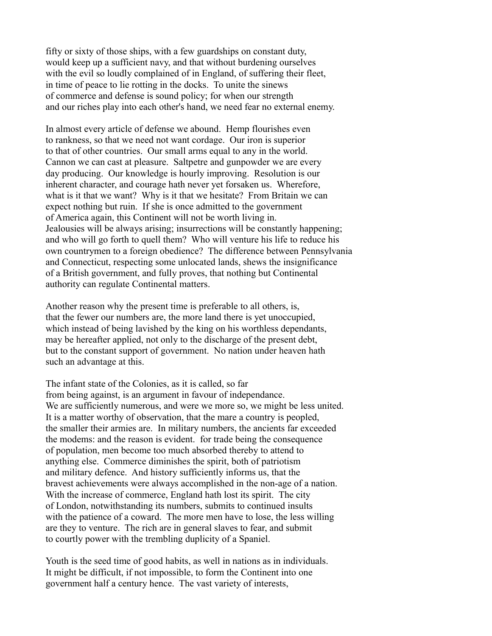fifty or sixty of those ships, with a few guardships on constant duty, would keep up a sufficient navy, and that without burdening ourselves with the evil so loudly complained of in England, of suffering their fleet, in time of peace to lie rotting in the docks. To unite the sinews of commerce and defense is sound policy; for when our strength and our riches play into each other's hand, we need fear no external enemy.

In almost every article of defense we abound. Hemp flourishes even to rankness, so that we need not want cordage. Our iron is superior to that of other countries. Our small arms equal to any in the world. Cannon we can cast at pleasure. Saltpetre and gunpowder we are every day producing. Our knowledge is hourly improving. Resolution is our inherent character, and courage hath never yet forsaken us. Wherefore, what is it that we want? Why is it that we hesitate? From Britain we can expect nothing but ruin. If she is once admitted to the government of America again, this Continent will not be worth living in. Jealousies will be always arising; insurrections will be constantly happening; and who will go forth to quell them? Who will venture his life to reduce his own countrymen to a foreign obedience? The difference between Pennsylvania and Connecticut, respecting some unlocated lands, shews the insignificance of a British government, and fully proves, that nothing but Continental authority can regulate Continental matters.

Another reason why the present time is preferable to all others, is, that the fewer our numbers are, the more land there is yet unoccupied, which instead of being lavished by the king on his worthless dependants, may be hereafter applied, not only to the discharge of the present debt, but to the constant support of government. No nation under heaven hath such an advantage at this.

The infant state of the Colonies, as it is called, so far from being against, is an argument in favour of independance. We are sufficiently numerous, and were we more so, we might be less united. It is a matter worthy of observation, that the mare a country is peopled, the smaller their armies are. In military numbers, the ancients far exceeded the modems: and the reason is evident. for trade being the consequence of population, men become too much absorbed thereby to attend to anything else. Commerce diminishes the spirit, both of patriotism and military defence. And history sufficiently informs us, that the bravest achievements were always accomplished in the non-age of a nation. With the increase of commerce, England hath lost its spirit. The city of London, notwithstanding its numbers, submits to continued insults with the patience of a coward. The more men have to lose, the less willing are they to venture. The rich are in general slaves to fear, and submit to courtly power with the trembling duplicity of a Spaniel.

Youth is the seed time of good habits, as well in nations as in individuals. It might be difficult, if not impossible, to form the Continent into one government half a century hence. The vast variety of interests,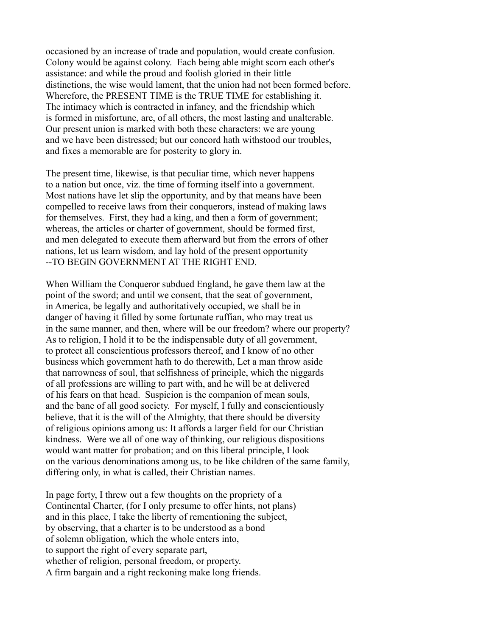occasioned by an increase of trade and population, would create confusion. Colony would be against colony. Each being able might scorn each other's assistance: and while the proud and foolish gloried in their little distinctions, the wise would lament, that the union had not been formed before. Wherefore, the PRESENT TIME is the TRUE TIME for establishing it. The intimacy which is contracted in infancy, and the friendship which is formed in misfortune, are, of all others, the most lasting and unalterable. Our present union is marked with both these characters: we are young and we have been distressed; but our concord hath withstood our troubles, and fixes a memorable are for posterity to glory in.

The present time, likewise, is that peculiar time, which never happens to a nation but once, viz. the time of forming itself into a government. Most nations have let slip the opportunity, and by that means have been compelled to receive laws from their conquerors, instead of making laws for themselves. First, they had a king, and then a form of government; whereas, the articles or charter of government, should be formed first, and men delegated to execute them afterward but from the errors of other nations, let us learn wisdom, and lay hold of the present opportunity --TO BEGIN GOVERNMENT AT THE RIGHT END.

When William the Conqueror subdued England, he gave them law at the point of the sword; and until we consent, that the seat of government, in America, be legally and authoritatively occupied, we shall be in danger of having it filled by some fortunate ruffian, who may treat us in the same manner, and then, where will be our freedom? where our property? As to religion, I hold it to be the indispensable duty of all government, to protect all conscientious professors thereof, and I know of no other business which government hath to do therewith, Let a man throw aside that narrowness of soul, that selfishness of principle, which the niggards of all professions are willing to part with, and he will be at delivered of his fears on that head. Suspicion is the companion of mean souls, and the bane of all good society. For myself, I fully and conscientiously believe, that it is the will of the Almighty, that there should be diversity of religious opinions among us: It affords a larger field for our Christian kindness. Were we all of one way of thinking, our religious dispositions would want matter for probation; and on this liberal principle, I look on the various denominations among us, to be like children of the same family, differing only, in what is called, their Christian names.

In page forty, I threw out a few thoughts on the propriety of a Continental Charter, (for I only presume to offer hints, not plans) and in this place, I take the liberty of rementioning the subject, by observing, that a charter is to be understood as a bond of solemn obligation, which the whole enters into, to support the right of every separate part, whether of religion, personal freedom, or property. A firm bargain and a right reckoning make long friends.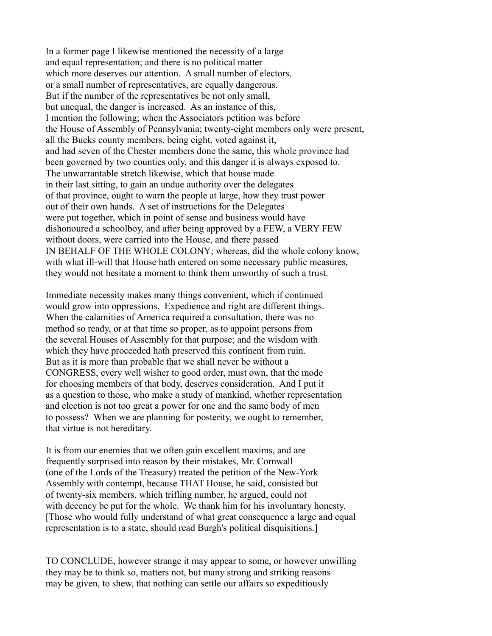In a former page I likewise mentioned the necessity of a large and equal representation; and there is no political matter which more deserves our attention. A small number of electors, or a small number of representatives, are equally dangerous. But if the number of the representatives be not only small, but unequal, the danger is increased. As an instance of this, I mention the following; when the Associators petition was before the House of Assembly of Pennsylvania; twenty-eight members only were present, all the Bucks county members, being eight, voted against it, and had seven of the Chester members done the same, this whole province had been governed by two counties only, and this danger it is always exposed to. The unwarrantable stretch likewise, which that house made in their last sitting, to gain an undue authority over the delegates of that province, ought to warn the people at large, how they trust power out of their own hands. A set of instructions for the Delegates were put together, which in point of sense and business would have dishonoured a schoolboy, and after being approved by a FEW, a VERY FEW without doors, were carried into the House, and there passed IN BEHALF OF THE WHOLE COLONY; whereas, did the whole colony know, with what ill-will that House hath entered on some necessary public measures, they would not hesitate a moment to think them unworthy of such a trust.

Immediate necessity makes many things convenient, which if continued would grow into oppressions. Expedience and right are different things. When the calamities of America required a consultation, there was no method so ready, or at that time so proper, as to appoint persons from the several Houses of Assembly for that purpose; and the wisdom with which they have proceeded hath preserved this continent from ruin. But as it is more than probable that we shall never be without a CONGRESS, every well wisher to good order, must own, that the mode for choosing members of that body, deserves consideration. And I put it as a question to those, who make a study of mankind, whether representation and election is not too great a power for one and the same body of men to possess? When we are planning for posterity, we ought to remember, that virtue is not hereditary.

It is from our enemies that we often gain excellent maxims, and are frequently surprised into reason by their mistakes, Mr. Cornwall (one of the Lords of the Treasury) treated the petition of the New-York Assembly with contempt, because THAT House, he said, consisted but of twenty-six members, which trifling number, he argued, could not with decency be put for the whole. We thank him for his involuntary honesty. [Those who would fully understand of what great consequence a large and equal representation is to a state, should read Burgh's political disquisitions.]

TO CONCLUDE, however strange it may appear to some, or however unwilling they may be to think so, matters not, but many strong and striking reasons may be given, to shew, that nothing can settle our affairs so expeditiously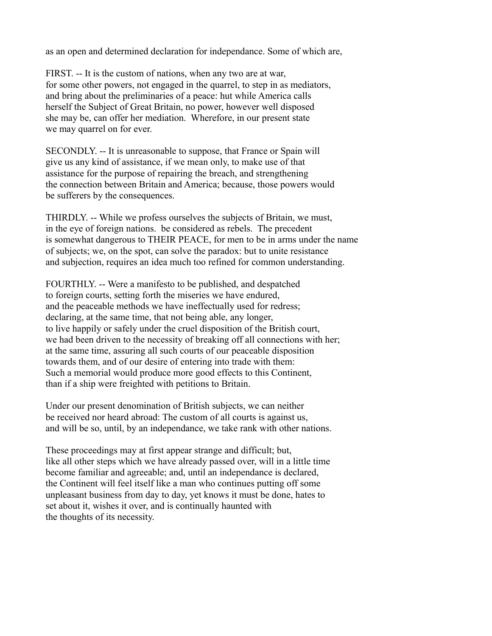as an open and determined declaration for independance. Some of which are,

FIRST. -- It is the custom of nations, when any two are at war, for some other powers, not engaged in the quarrel, to step in as mediators, and bring about the preliminaries of a peace: hut while America calls herself the Subject of Great Britain, no power, however well disposed she may be, can offer her mediation. Wherefore, in our present state we may quarrel on for ever.

SECONDLY. -- It is unreasonable to suppose, that France or Spain will give us any kind of assistance, if we mean only, to make use of that assistance for the purpose of repairing the breach, and strengthening the connection between Britain and America; because, those powers would be sufferers by the consequences.

THIRDLY. -- While we profess ourselves the subjects of Britain, we must, in the eye of foreign nations. be considered as rebels. The precedent is somewhat dangerous to THEIR PEACE, for men to be in arms under the name of subjects; we, on the spot, can solve the paradox: but to unite resistance and subjection, requires an idea much too refined for common understanding.

FOURTHLY. -- Were a manifesto to be published, and despatched to foreign courts, setting forth the miseries we have endured, and the peaceable methods we have ineffectually used for redress; declaring, at the same time, that not being able, any longer, to live happily or safely under the cruel disposition of the British court, we had been driven to the necessity of breaking off all connections with her; at the same time, assuring all such courts of our peaceable disposition towards them, and of our desire of entering into trade with them: Such a memorial would produce more good effects to this Continent, than if a ship were freighted with petitions to Britain.

Under our present denomination of British subjects, we can neither be received nor heard abroad: The custom of all courts is against us, and will be so, until, by an independance, we take rank with other nations.

These proceedings may at first appear strange and difficult; but, like all other steps which we have already passed over, will in a little time become familiar and agreeable; and, until an independance is declared, the Continent will feel itself like a man who continues putting off some unpleasant business from day to day, yet knows it must be done, hates to set about it, wishes it over, and is continually haunted with the thoughts of its necessity.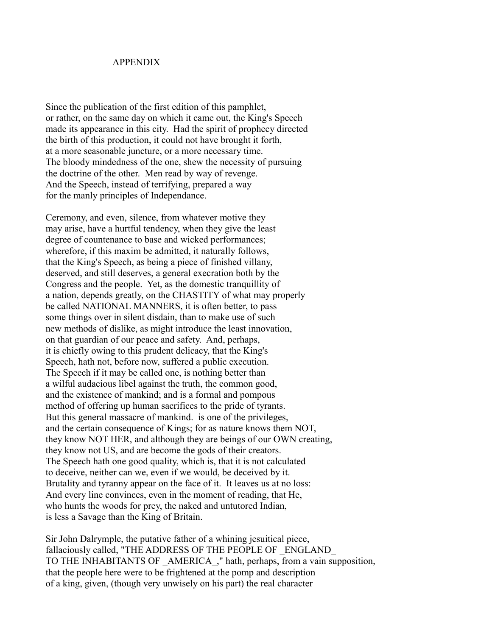#### APPENDIX

Since the publication of the first edition of this pamphlet, or rather, on the same day on which it came out, the King's Speech made its appearance in this city. Had the spirit of prophecy directed the birth of this production, it could not have brought it forth, at a more seasonable juncture, or a more necessary time. The bloody mindedness of the one, shew the necessity of pursuing the doctrine of the other. Men read by way of revenge. And the Speech, instead of terrifying, prepared a way for the manly principles of Independance.

Ceremony, and even, silence, from whatever motive they may arise, have a hurtful tendency, when they give the least degree of countenance to base and wicked performances; wherefore, if this maxim be admitted, it naturally follows, that the King's Speech, as being a piece of finished villany, deserved, and still deserves, a general execration both by the Congress and the people. Yet, as the domestic tranquillity of a nation, depends greatly, on the CHASTITY of what may properly be called NATIONAL MANNERS, it is often better, to pass some things over in silent disdain, than to make use of such new methods of dislike, as might introduce the least innovation, on that guardian of our peace and safety. And, perhaps, it is chiefly owing to this prudent delicacy, that the King's Speech, hath not, before now, suffered a public execution. The Speech if it may be called one, is nothing better than a wilful audacious libel against the truth, the common good, and the existence of mankind; and is a formal and pompous method of offering up human sacrifices to the pride of tyrants. But this general massacre of mankind. is one of the privileges, and the certain consequence of Kings; for as nature knows them NOT, they know NOT HER, and although they are beings of our OWN creating, they know not US, and are become the gods of their creators. The Speech hath one good quality, which is, that it is not calculated to deceive, neither can we, even if we would, be deceived by it. Brutality and tyranny appear on the face of it. It leaves us at no loss: And every line convinces, even in the moment of reading, that He, who hunts the woods for prey, the naked and untutored Indian, is less a Savage than the King of Britain.

Sir John Dalrymple, the putative father of a whining jesuitical piece, fallaciously called, "THE ADDRESS OF THE PEOPLE OF ENGLAND TO THE INHABITANTS OF \_AMERICA\_," hath, perhaps, from a vain supposition, that the people here were to be frightened at the pomp and description of a king, given, (though very unwisely on his part) the real character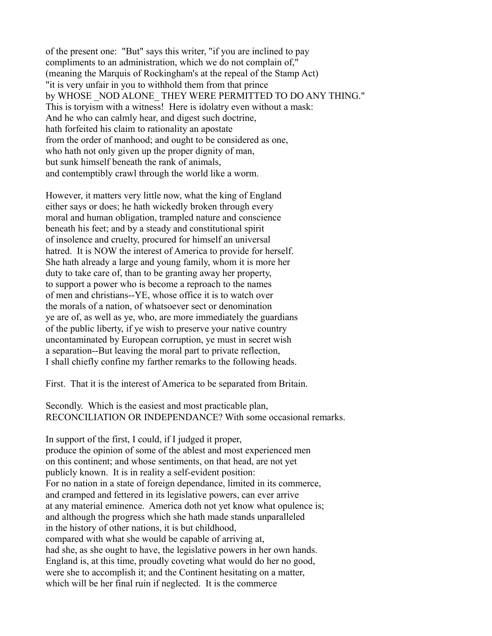of the present one: "But" says this writer, "if you are inclined to pay compliments to an administration, which we do not complain of," (meaning the Marquis of Rockingham's at the repeal of the Stamp Act) "it is very unfair in you to withhold them from that prince by WHOSE NOD ALONE THEY WERE PERMITTED TO DO ANY THING." This is toryism with a witness! Here is idolatry even without a mask: And he who can calmly hear, and digest such doctrine, hath forfeited his claim to rationality an apostate from the order of manhood; and ought to be considered as one, who hath not only given up the proper dignity of man, but sunk himself beneath the rank of animals, and contemptibly crawl through the world like a worm.

However, it matters very little now, what the king of England either says or does; he hath wickedly broken through every moral and human obligation, trampled nature and conscience beneath his feet; and by a steady and constitutional spirit of insolence and cruelty, procured for himself an universal hatred. It is NOW the interest of America to provide for herself. She hath already a large and young family, whom it is more her duty to take care of, than to be granting away her property, to support a power who is become a reproach to the names of men and christians--YE, whose office it is to watch over the morals of a nation, of whatsoever sect or denomination ye are of, as well as ye, who, are more immediately the guardians of the public liberty, if ye wish to preserve your native country uncontaminated by European corruption, ye must in secret wish a separation--But leaving the moral part to private reflection, I shall chiefly confine my farther remarks to the following heads.

First. That it is the interest of America to be separated from Britain.

Secondly. Which is the easiest and most practicable plan, RECONCILIATION OR INDEPENDANCE? With some occasional remarks.

In support of the first, I could, if I judged it proper, produce the opinion of some of the ablest and most experienced men on this continent; and whose sentiments, on that head, are not yet publicly known. It is in reality a self-evident position: For no nation in a state of foreign dependance, limited in its commerce, and cramped and fettered in its legislative powers, can ever arrive at any material eminence. America doth not yet know what opulence is; and although the progress which she hath made stands unparalleled in the history of other nations, it is but childhood, compared with what she would be capable of arriving at, had she, as she ought to have, the legislative powers in her own hands. England is, at this time, proudly coveting what would do her no good, were she to accomplish it; and the Continent hesitating on a matter, which will be her final ruin if neglected. It is the commerce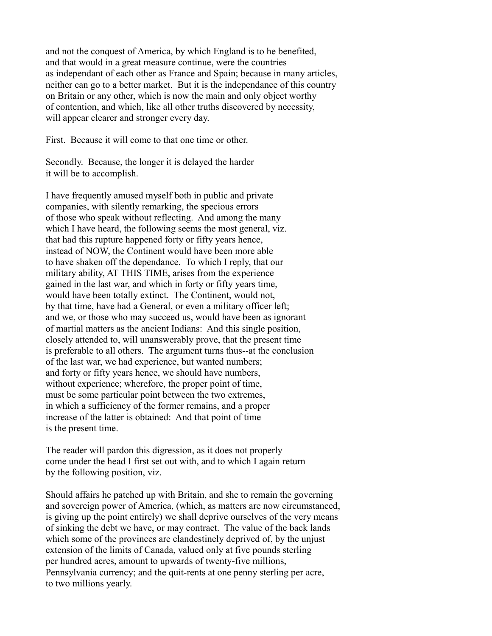and not the conquest of America, by which England is to he benefited, and that would in a great measure continue, were the countries as independant of each other as France and Spain; because in many articles, neither can go to a better market. But it is the independance of this country on Britain or any other, which is now the main and only object worthy of contention, and which, like all other truths discovered by necessity, will appear clearer and stronger every day.

First. Because it will come to that one time or other.

Secondly. Because, the longer it is delayed the harder it will be to accomplish.

I have frequently amused myself both in public and private companies, with silently remarking, the specious errors of those who speak without reflecting. And among the many which I have heard, the following seems the most general, viz. that had this rupture happened forty or fifty years hence, instead of NOW, the Continent would have been more able to have shaken off the dependance. To which I reply, that our military ability, AT THIS TIME, arises from the experience gained in the last war, and which in forty or fifty years time, would have been totally extinct. The Continent, would not, by that time, have had a General, or even a military officer left; and we, or those who may succeed us, would have been as ignorant of martial matters as the ancient Indians: And this single position, closely attended to, will unanswerably prove, that the present time is preferable to all others. The argument turns thus--at the conclusion of the last war, we had experience, but wanted numbers; and forty or fifty years hence, we should have numbers, without experience; wherefore, the proper point of time, must be some particular point between the two extremes, in which a sufficiency of the former remains, and a proper increase of the latter is obtained: And that point of time is the present time.

The reader will pardon this digression, as it does not properly come under the head I first set out with, and to which I again return by the following position, viz.

Should affairs he patched up with Britain, and she to remain the governing and sovereign power of America, (which, as matters are now circumstanced, is giving up the point entirely) we shall deprive ourselves of the very means of sinking the debt we have, or may contract. The value of the back lands which some of the provinces are clandestinely deprived of, by the unjust extension of the limits of Canada, valued only at five pounds sterling per hundred acres, amount to upwards of twenty-five millions, Pennsylvania currency; and the quit-rents at one penny sterling per acre, to two millions yearly.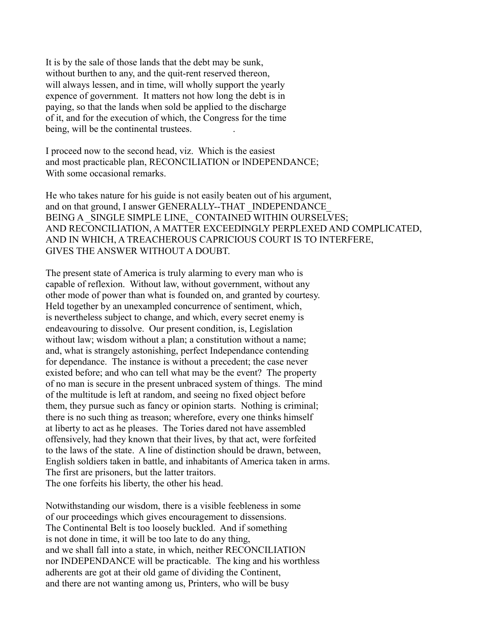It is by the sale of those lands that the debt may be sunk, without burthen to any, and the quit-rent reserved thereon, will always lessen, and in time, will wholly support the yearly expence of government. It matters not how long the debt is in paying, so that the lands when sold be applied to the discharge of it, and for the execution of which, the Congress for the time being, will be the continental trustees.

I proceed now to the second head, viz. Which is the easiest and most practicable plan, RECONCILIATION or lNDEPENDANCE; With some occasional remarks.

He who takes nature for his guide is not easily beaten out of his argument, and on that ground, I answer GENERALLY--THAT \_INDEPENDANCE BEING A SINGLE SIMPLE LINE, CONTAINED WITHIN OURSELVES; AND RECONCILIATION, A MATTER EXCEEDINGLY PERPLEXED AND COMPLICATED, AND IN WHICH, A TREACHEROUS CAPRICIOUS COURT IS TO INTERFERE, GIVES THE ANSWER WITHOUT A DOUBT.

The present state of America is truly alarming to every man who is capable of reflexion. Without law, without government, without any other mode of power than what is founded on, and granted by courtesy. Held together by an unexampled concurrence of sentiment, which, is nevertheless subject to change, and which, every secret enemy is endeavouring to dissolve. Our present condition, is, Legislation without law; wisdom without a plan; a constitution without a name; and, what is strangely astonishing, perfect Independance contending for dependance. The instance is without a precedent; the case never existed before; and who can tell what may be the event? The property of no man is secure in the present unbraced system of things. The mind of the multitude is left at random, and seeing no fixed object before them, they pursue such as fancy or opinion starts. Nothing is criminal; there is no such thing as treason; wherefore, every one thinks himself at liberty to act as he pleases. The Tories dared not have assembled offensively, had they known that their lives, by that act, were forfeited to the laws of the state. A line of distinction should be drawn, between, English soldiers taken in battle, and inhabitants of America taken in arms. The first are prisoners, but the latter traitors. The one forfeits his liberty, the other his head.

Notwithstanding our wisdom, there is a visible feebleness in some of our proceedings which gives encouragement to dissensions. The Continental Belt is too loosely buckled. And if something is not done in time, it will be too late to do any thing, and we shall fall into a state, in which, neither RECONCILIATION nor INDEPENDANCE will be practicable. The king and his worthless adherents are got at their old game of dividing the Continent, and there are not wanting among us, Printers, who will be busy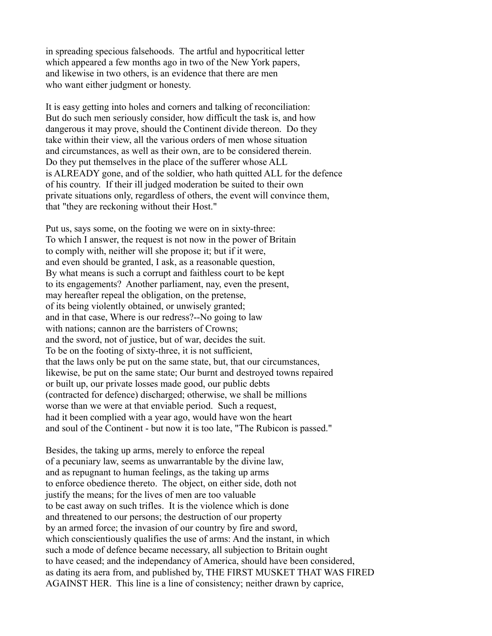in spreading specious falsehoods. The artful and hypocritical letter which appeared a few months ago in two of the New York papers, and likewise in two others, is an evidence that there are men who want either judgment or honesty.

It is easy getting into holes and corners and talking of reconciliation: But do such men seriously consider, how difficult the task is, and how dangerous it may prove, should the Continent divide thereon. Do they take within their view, all the various orders of men whose situation and circumstances, as well as their own, are to be considered therein. Do they put themselves in the place of the sufferer whose ALL is ALREADY gone, and of the soldier, who hath quitted ALL for the defence of his country. If their ill judged moderation be suited to their own private situations only, regardless of others, the event will convince them, that "they are reckoning without their Host."

Put us, says some, on the footing we were on in sixty-three: To which I answer, the request is not now in the power of Britain to comply with, neither will she propose it; but if it were, and even should be granted, I ask, as a reasonable question, By what means is such a corrupt and faithless court to be kept to its engagements? Another parliament, nay, even the present, may hereafter repeal the obligation, on the pretense, of its being violently obtained, or unwisely granted; and in that case, Where is our redress?--No going to law with nations; cannon are the barristers of Crowns; and the sword, not of justice, but of war, decides the suit. To be on the footing of sixty-three, it is not sufficient, that the laws only be put on the same state, but, that our circumstances, likewise, be put on the same state; Our burnt and destroyed towns repaired or built up, our private losses made good, our public debts (contracted for defence) discharged; otherwise, we shall be millions worse than we were at that enviable period. Such a request, had it been complied with a year ago, would have won the heart and soul of the Continent - but now it is too late, "The Rubicon is passed."

Besides, the taking up arms, merely to enforce the repeal of a pecuniary law, seems as unwarrantable by the divine law, and as repugnant to human feelings, as the taking up arms to enforce obedience thereto. The object, on either side, doth not justify the means; for the lives of men are too valuable to be cast away on such trifles. It is the violence which is done and threatened to our persons; the destruction of our property by an armed force; the invasion of our country by fire and sword, which conscientiously qualifies the use of arms: And the instant, in which such a mode of defence became necessary, all subjection to Britain ought to have ceased; and the independancy of America, should have been considered, as dating its aera from, and published by, THE FIRST MUSKET THAT WAS FIRED AGAINST HER. This line is a line of consistency; neither drawn by caprice,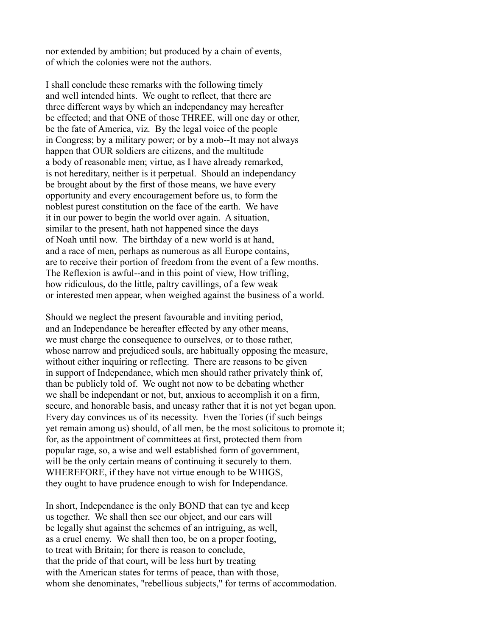nor extended by ambition; but produced by a chain of events, of which the colonies were not the authors.

I shall conclude these remarks with the following timely and well intended hints. We ought to reflect, that there are three different ways by which an independancy may hereafter be effected; and that ONE of those THREE, will one day or other, be the fate of America, viz. By the legal voice of the people in Congress; by a military power; or by a mob--It may not always happen that OUR soldiers are citizens, and the multitude a body of reasonable men; virtue, as I have already remarked, is not hereditary, neither is it perpetual. Should an independancy be brought about by the first of those means, we have every opportunity and every encouragement before us, to form the noblest purest constitution on the face of the earth. We have it in our power to begin the world over again. A situation, similar to the present, hath not happened since the days of Noah until now. The birthday of a new world is at hand, and a race of men, perhaps as numerous as all Europe contains, are to receive their portion of freedom from the event of a few months. The Reflexion is awful--and in this point of view, How trifling, how ridiculous, do the little, paltry cavillings, of a few weak or interested men appear, when weighed against the business of a world.

Should we neglect the present favourable and inviting period, and an Independance be hereafter effected by any other means, we must charge the consequence to ourselves, or to those rather, whose narrow and prejudiced souls, are habitually opposing the measure, without either inquiring or reflecting. There are reasons to be given in support of Independance, which men should rather privately think of, than be publicly told of. We ought not now to be debating whether we shall be independant or not, but, anxious to accomplish it on a firm, secure, and honorable basis, and uneasy rather that it is not yet began upon. Every day convinces us of its necessity. Even the Tories (if such beings yet remain among us) should, of all men, be the most solicitous to promote it; for, as the appointment of committees at first, protected them from popular rage, so, a wise and well established form of government, will be the only certain means of continuing it securely to them. WHEREFORE, if they have not virtue enough to be WHIGS, they ought to have prudence enough to wish for Independance.

In short, Independance is the only BOND that can tye and keep us together. We shall then see our object, and our ears will be legally shut against the schemes of an intriguing, as well, as a cruel enemy. We shall then too, be on a proper footing, to treat with Britain; for there is reason to conclude, that the pride of that court, will be less hurt by treating with the American states for terms of peace, than with those, whom she denominates, "rebellious subjects," for terms of accommodation.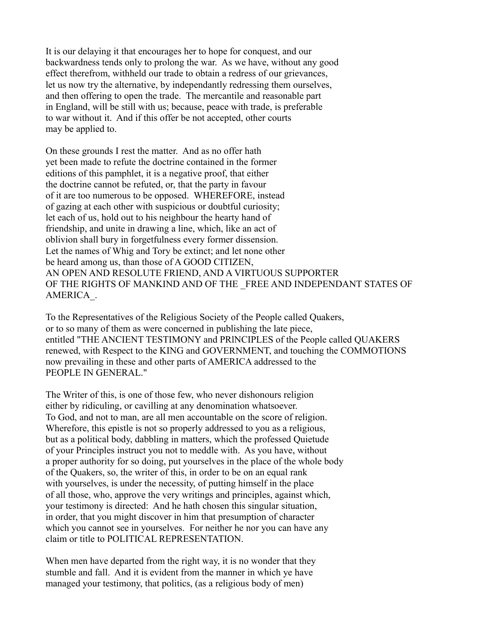It is our delaying it that encourages her to hope for conquest, and our backwardness tends only to prolong the war. As we have, without any good effect therefrom, withheld our trade to obtain a redress of our grievances, let us now try the alternative, by independantly redressing them ourselves, and then offering to open the trade. The mercantile and reasonable part in England, will be still with us; because, peace with trade, is preferable to war without it. And if this offer be not accepted, other courts may be applied to.

On these grounds I rest the matter. And as no offer hath yet been made to refute the doctrine contained in the former editions of this pamphlet, it is a negative proof, that either the doctrine cannot be refuted, or, that the party in favour of it are too numerous to be opposed. WHEREFORE, instead of gazing at each other with suspicious or doubtful curiosity; let each of us, hold out to his neighbour the hearty hand of friendship, and unite in drawing a line, which, like an act of oblivion shall bury in forgetfulness every former dissension. Let the names of Whig and Tory be extinct; and let none other be heard among us, than those of A GOOD CITIZEN, AN OPEN AND RESOLUTE FRIEND, AND A VIRTUOUS SUPPORTER OF THE RIGHTS OF MANKIND AND OF THE FREE AND INDEPENDANT STATES OF AMERICA\_.

To the Representatives of the Religious Society of the People called Quakers, or to so many of them as were concerned in publishing the late piece, entitled "THE ANCIENT TESTIMONY and PRlNCIPLES of the People called QUAKERS renewed, with Respect to the KING and GOVERNMENT, and touching the COMMOTIONS now prevailing in these and other parts of AMERICA addressed to the PEOPLE IN GENERAL."

The Writer of this, is one of those few, who never dishonours religion either by ridiculing, or cavilling at any denomination whatsoever. To God, and not to man, are all men accountable on the score of religion. Wherefore, this epistle is not so properly addressed to you as a religious, but as a political body, dabbling in matters, which the professed Quietude of your Principles instruct you not to meddle with. As you have, without a proper authority for so doing, put yourselves in the place of the whole body of the Quakers, so, the writer of this, in order to be on an equal rank with yourselves, is under the necessity, of putting himself in the place of all those, who, approve the very writings and principles, against which, your testimony is directed: And he hath chosen this singular situation, in order, that you might discover in him that presumption of character which you cannot see in yourselves. For neither he nor you can have any claim or title to POLITICAL REPRESENTATION.

When men have departed from the right way, it is no wonder that they stumble and fall. And it is evident from the manner in which ye have managed your testimony, that politics, (as a religious body of men)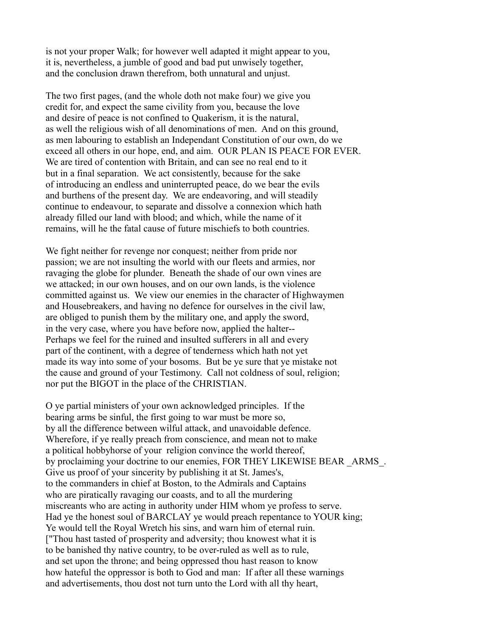is not your proper Walk; for however well adapted it might appear to you, it is, nevertheless, a jumble of good and bad put unwisely together, and the conclusion drawn therefrom, both unnatural and unjust.

The two first pages, (and the whole doth not make four) we give you credit for, and expect the same civility from you, because the love and desire of peace is not confined to Quakerism, it is the natural, as well the religious wish of all denominations of men. And on this ground, as men labouring to establish an Independant Constitution of our own, do we exceed all others in our hope, end, and aim. OUR PLAN IS PEACE FOR EVER. We are tired of contention with Britain, and can see no real end to it but in a final separation. We act consistently, because for the sake of introducing an endless and uninterrupted peace, do we bear the evils and burthens of the present day. We are endeavoring, and will steadily continue to endeavour, to separate and dissolve a connexion which hath already filled our land with blood; and which, while the name of it remains, will he the fatal cause of future mischiefs to both countries.

We fight neither for revenge nor conquest; neither from pride nor passion; we are not insulting the world with our fleets and armies, nor ravaging the globe for plunder. Beneath the shade of our own vines are we attacked; in our own houses, and on our own lands, is the violence committed against us. We view our enemies in the character of Highwaymen and Housebreakers, and having no defence for ourselves in the civil law, are obliged to punish them by the military one, and apply the sword, in the very case, where you have before now, applied the halter-- Perhaps we feel for the ruined and insulted sufferers in all and every part of the continent, with a degree of tenderness which hath not yet made its way into some of your bosoms. But be ye sure that ye mistake not the cause and ground of your Testimony. Call not coldness of soul, religion; nor put the BIGOT in the place of the CHRISTIAN.

O ye partial ministers of your own acknowledged principles. If the bearing arms be sinful, the first going to war must be more so, by all the difference between wilful attack, and unavoidable defence. Wherefore, if ye really preach from conscience, and mean not to make a political hobbyhorse of your religion convince the world thereof, by proclaiming your doctrine to our enemies, FOR THEY LIKEWISE BEAR \_ARMS\_. Give us proof of your sincerity by publishing it at St. James's, to the commanders in chief at Boston, to the Admirals and Captains who are piratically ravaging our coasts, and to all the murdering miscreants who are acting in authority under HIM whom ye profess to serve. Had ye the honest soul of BARCLAY ye would preach repentance to YOUR king; Ye would tell the Royal Wretch his sins, and warn him of eternal ruin. ["Thou hast tasted of prosperity and adversity; thou knowest what it is to be banished thy native country, to be over-ruled as well as to rule, and set upon the throne; and being oppressed thou hast reason to know how hateful the oppressor is both to God and man: If after all these warnings and advertisements, thou dost not turn unto the Lord with all thy heart,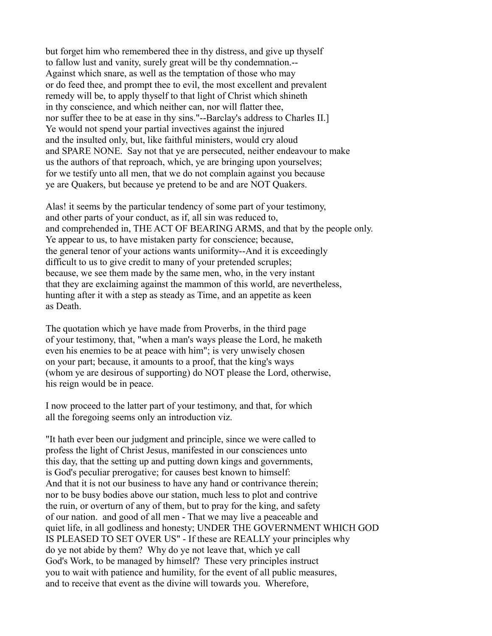but forget him who remembered thee in thy distress, and give up thyself to fallow lust and vanity, surely great will be thy condemnation.-- Against which snare, as well as the temptation of those who may or do feed thee, and prompt thee to evil, the most excellent and prevalent remedy will be, to apply thyself to that light of Christ which shineth in thy conscience, and which neither can, nor will flatter thee, nor suffer thee to be at ease in thy sins."--Barclay's address to Charles II.] Ye would not spend your partial invectives against the injured and the insulted only, but, like faithful ministers, would cry aloud and SPARE NONE. Say not that ye are persecuted, neither endeavour to make us the authors of that reproach, which, ye are bringing upon yourselves; for we testify unto all men, that we do not complain against you because ye are Quakers, but because ye pretend to be and are NOT Quakers.

Alas! it seems by the particular tendency of some part of your testimony, and other parts of your conduct, as if, all sin was reduced to, and comprehended in, THE ACT OF BEARING ARMS, and that by the people only. Ye appear to us, to have mistaken party for conscience; because, the general tenor of your actions wants uniformity--And it is exceedingly difficult to us to give credit to many of your pretended scruples; because, we see them made by the same men, who, in the very instant that they are exclaiming against the mammon of this world, are nevertheless, hunting after it with a step as steady as Time, and an appetite as keen as Death.

The quotation which ye have made from Proverbs, in the third page of your testimony, that, "when a man's ways please the Lord, he maketh even his enemies to be at peace with him"; is very unwisely chosen on your part; because, it amounts to a proof, that the king's ways (whom ye are desirous of supporting) do NOT please the Lord, otherwise, his reign would be in peace.

I now proceed to the latter part of your testimony, and that, for which all the foregoing seems only an introduction viz.

"It hath ever been our judgment and principle, since we were called to profess the light of Christ Jesus, manifested in our consciences unto this day, that the setting up and putting down kings and governments, is God's peculiar prerogative; for causes best known to himself: And that it is not our business to have any hand or contrivance therein; nor to be busy bodies above our station, much less to plot and contrive the ruin, or overturn of any of them, but to pray for the king, and safety of our nation. and good of all men - That we may live a peaceable and quiet life, in all godliness and honesty; UNDER THE GOVERNMENT WHICH GOD IS PLEASED TO SET OVER US" - If these are REALLY your principles why do ye not abide by them? Why do ye not leave that, which ye call God's Work, to be managed by himself? These very principles instruct you to wait with patience and humility, for the event of all public measures, and to receive that event as the divine will towards you. Wherefore,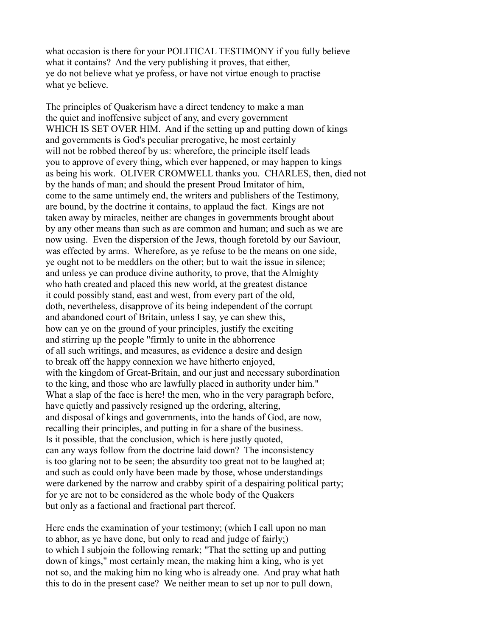what occasion is there for your POLITICAL TESTIMONY if you fully believe what it contains? And the very publishing it proves, that either, ye do not believe what ye profess, or have not virtue enough to practise what ye believe.

The principles of Quakerism have a direct tendency to make a man the quiet and inoffensive subject of any, and every government WHICH IS SET OVER HIM. And if the setting up and putting down of kings and governments is God's peculiar prerogative, he most certainly will not be robbed thereof by us: wherefore, the principle itself leads you to approve of every thing, which ever happened, or may happen to kings as being his work. OLIVER CROMWELL thanks you. CHARLES, then, died not by the hands of man; and should the present Proud Imitator of him, come to the same untimely end, the writers and publishers of the Testimony, are bound, by the doctrine it contains, to applaud the fact. Kings are not taken away by miracles, neither are changes in governments brought about by any other means than such as are common and human; and such as we are now using. Even the dispersion of the Jews, though foretold by our Saviour, was effected by arms. Wherefore, as ye refuse to be the means on one side, ye ought not to be meddlers on the other; but to wait the issue in silence; and unless ye can produce divine authority, to prove, that the Almighty who hath created and placed this new world, at the greatest distance it could possibly stand, east and west, from every part of the old, doth, nevertheless, disapprove of its being independent of the corrupt and abandoned court of Britain, unless I say, ye can shew this, how can ye on the ground of your principles, justify the exciting and stirring up the people "firmly to unite in the abhorrence of all such writings, and measures, as evidence a desire and design to break off the happy connexion we have hitherto enjoyed, with the kingdom of Great-Britain, and our just and necessary subordination to the king, and those who are lawfully placed in authority under him." What a slap of the face is here! the men, who in the very paragraph before, have quietly and passively resigned up the ordering, altering, and disposal of kings and governments, into the hands of God, are now, recalling their principles, and putting in for a share of the business. Is it possible, that the conclusion, which is here justly quoted, can any ways follow from the doctrine laid down? The inconsistency is too glaring not to be seen; the absurdity too great not to be laughed at; and such as could only have been made by those, whose understandings were darkened by the narrow and crabby spirit of a despairing political party; for ye are not to be considered as the whole body of the Quakers but only as a factional and fractional part thereof.

Here ends the examination of your testimony; (which I call upon no man to abhor, as ye have done, but only to read and judge of fairly;) to which I subjoin the following remark; "That the setting up and putting down of kings," most certainly mean, the making him a king, who is yet not so, and the making him no king who is already one. And pray what hath this to do in the present case? We neither mean to set up nor to pull down,